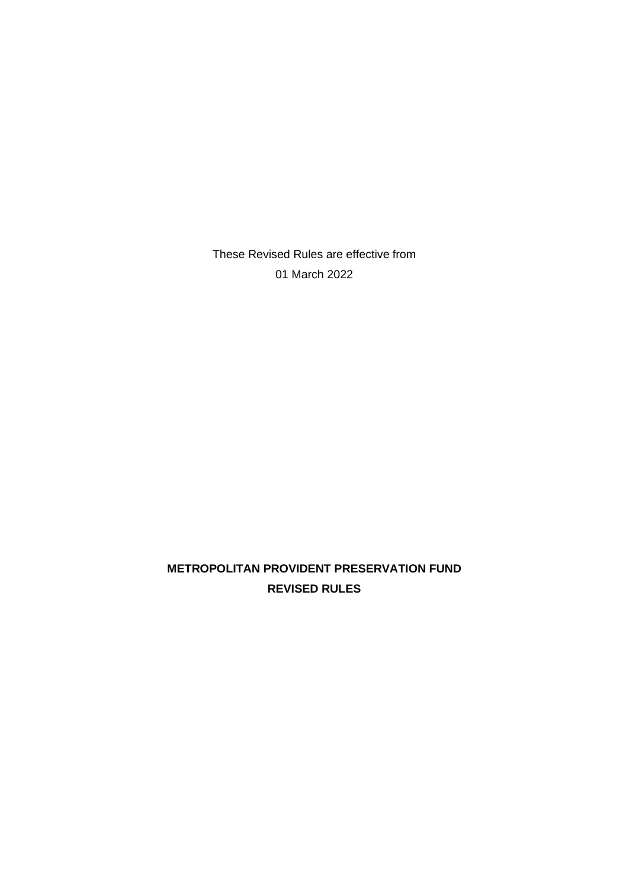These Revised Rules are effective from 01 March 2022

# **METROPOLITAN PROVIDENT PRESERVATION FUND REVISED RULES**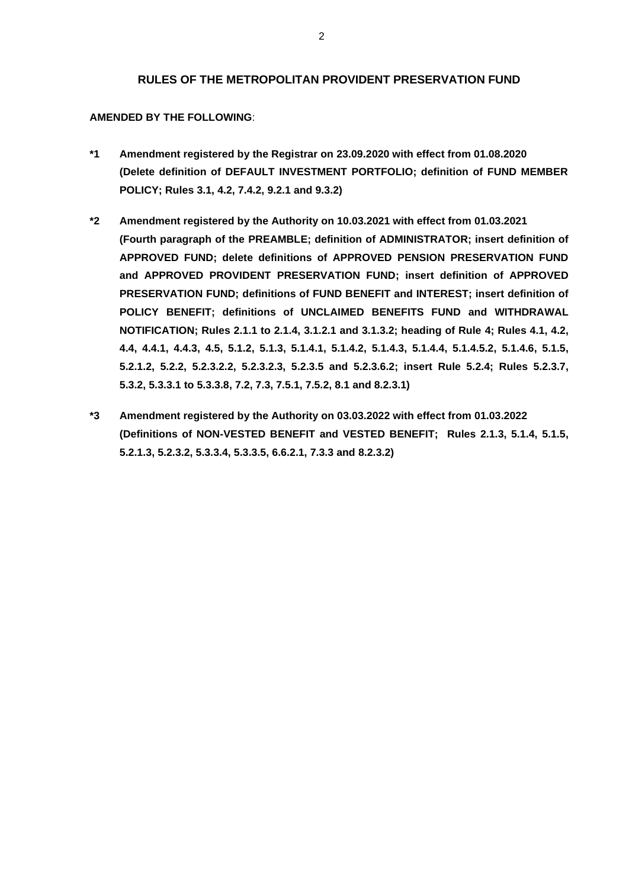### **RULES OF THE METROPOLITAN PROVIDENT PRESERVATION FUND**

### **AMENDED BY THE FOLLOWING**:

- **\*1 Amendment registered by the Registrar on 23.09.2020 with effect from 01.08.2020 (Delete definition of DEFAULT INVESTMENT PORTFOLIO; definition of FUND MEMBER POLICY; Rules 3.1, 4.2, 7.4.2, 9.2.1 and 9.3.2)**
- **\*2 Amendment registered by the Authority on 10.03.2021 with effect from 01.03.2021 (Fourth paragraph of the PREAMBLE; definition of ADMINISTRATOR; insert definition of APPROVED FUND; delete definitions of APPROVED PENSION PRESERVATION FUND and APPROVED PROVIDENT PRESERVATION FUND; insert definition of APPROVED PRESERVATION FUND; definitions of FUND BENEFIT and INTEREST; insert definition of POLICY BENEFIT; definitions of UNCLAIMED BENEFITS FUND and WITHDRAWAL NOTIFICATION; Rules 2.1.1 to 2.1.4, 3.1.2.1 and 3.1.3.2; heading of Rule 4; Rules 4.1, 4.2, 4.4, 4.4.1, 4.4.3, 4.5, 5.1.2, 5.1.3, 5.1.4.1, 5.1.4.2, 5.1.4.3, 5.1.4.4, 5.1.4.5.2, 5.1.4.6, 5.1.5, 5.2.1.2, 5.2.2, 5.2.3.2.2, 5.2.3.2.3, 5.2.3.5 and 5.2.3.6.2; insert Rule 5.2.4; Rules 5.2.3.7, 5.3.2, 5.3.3.1 to 5.3.3.8, 7.2, 7.3, 7.5.1, 7.5.2, 8.1 and 8.2.3.1)**
- **\*3 Amendment registered by the Authority on 03.03.2022 with effect from 01.03.2022 (Definitions of NON-VESTED BENEFIT and VESTED BENEFIT; Rules 2.1.3, 5.1.4, 5.1.5, 5.2.1.3, 5.2.3.2, 5.3.3.4, 5.3.3.5, 6.6.2.1, 7.3.3 and 8.2.3.2)**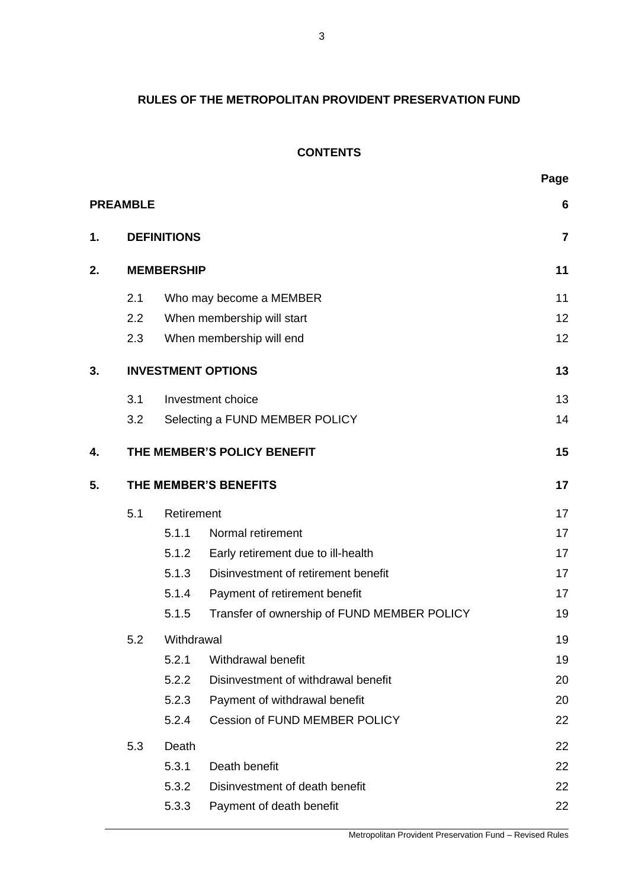# **RULES OF THE METROPOLITAN PROVIDENT PRESERVATION FUND**

# **CONTENTS**

|  | ٠ | ×<br>۰, |
|--|---|---------|
|  |   |         |

|    | <b>PREAMBLE</b>       |                    |                                             | $6\phantom{1}$ |
|----|-----------------------|--------------------|---------------------------------------------|----------------|
| 1. |                       | <b>DEFINITIONS</b> |                                             | $\overline{7}$ |
| 2. | <b>MEMBERSHIP</b>     |                    |                                             | 11             |
|    | 2.1                   |                    | Who may become a MEMBER                     | 11             |
|    | 2.2                   |                    | When membership will start                  | 12             |
|    | 2.3                   |                    | When membership will end                    | 12             |
| 3. |                       |                    | <b>INVESTMENT OPTIONS</b>                   | 13             |
|    | 3.1                   |                    | Investment choice                           | 13             |
|    | 3.2                   |                    | Selecting a FUND MEMBER POLICY              | 14             |
| 4. |                       |                    | THE MEMBER'S POLICY BENEFIT                 | 15             |
| 5. | THE MEMBER'S BENEFITS |                    |                                             | 17             |
|    | 5.1                   | Retirement         |                                             | 17             |
|    |                       | 5.1.1              | Normal retirement                           | 17             |
|    |                       | 5.1.2              | Early retirement due to ill-health          | 17             |
|    |                       | 5.1.3              | Disinvestment of retirement benefit         | 17             |
|    |                       | 5.1.4              | Payment of retirement benefit               | 17             |
|    |                       | 5.1.5              | Transfer of ownership of FUND MEMBER POLICY | 19             |
|    | 5.2                   | Withdrawal         |                                             | 19             |
|    |                       | 5.2.1              | Withdrawal benefit                          | 19             |
|    |                       | 5.2.2              | Disinvestment of withdrawal benefit         | 20             |
|    |                       | 5.2.3              | Payment of withdrawal benefit               | 20             |
|    |                       | 5.2.4              | <b>Cession of FUND MEMBER POLICY</b>        | 22             |
|    | 5.3                   | Death              |                                             | 22             |
|    |                       | 5.3.1              | Death benefit                               | 22             |
|    |                       | 5.3.2              | Disinvestment of death benefit              | 22             |
|    |                       | 5.3.3              | Payment of death benefit                    | 22             |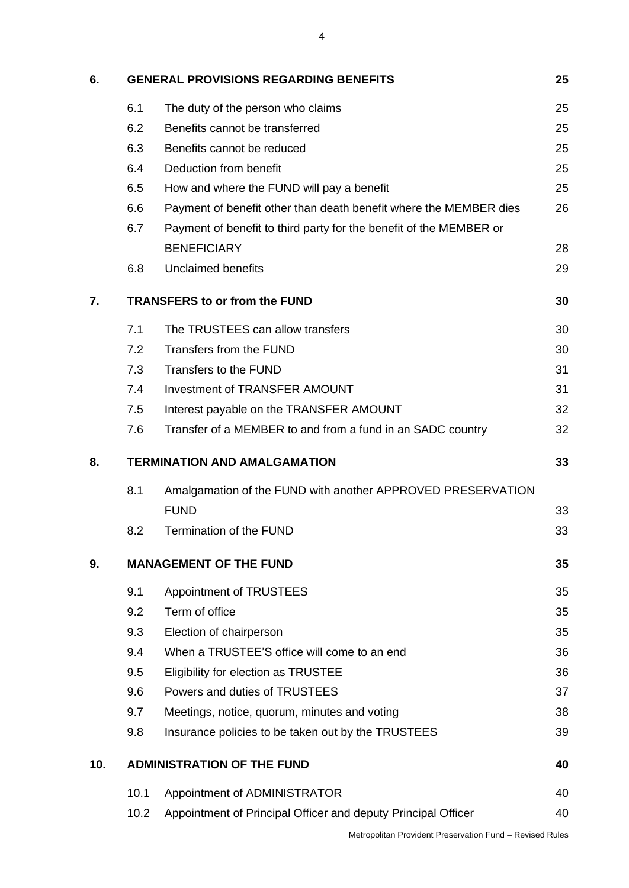| 6.                                        |      | <b>GENERAL PROVISIONS REGARDING BENEFITS</b>                       | 25 |
|-------------------------------------------|------|--------------------------------------------------------------------|----|
|                                           | 6.1  | The duty of the person who claims                                  | 25 |
|                                           | 6.2  | Benefits cannot be transferred                                     | 25 |
|                                           | 6.3  | Benefits cannot be reduced                                         | 25 |
|                                           | 6.4  | Deduction from benefit                                             | 25 |
|                                           | 6.5  | How and where the FUND will pay a benefit                          | 25 |
|                                           | 6.6  | Payment of benefit other than death benefit where the MEMBER dies  | 26 |
|                                           | 6.7  | Payment of benefit to third party for the benefit of the MEMBER or |    |
|                                           |      | <b>BENEFICIARY</b>                                                 | 28 |
|                                           | 6.8  | <b>Unclaimed benefits</b>                                          | 29 |
| 7.                                        |      | <b>TRANSFERS to or from the FUND</b>                               | 30 |
|                                           | 7.1  | The TRUSTEES can allow transfers                                   | 30 |
|                                           | 7.2  | Transfers from the FUND                                            | 30 |
|                                           | 7.3  | Transfers to the FUND                                              | 31 |
|                                           | 7.4  | <b>Investment of TRANSFER AMOUNT</b>                               | 31 |
|                                           | 7.5  | Interest payable on the TRANSFER AMOUNT                            | 32 |
|                                           | 7.6  | Transfer of a MEMBER to and from a fund in an SADC country         | 32 |
| <b>TERMINATION AND AMALGAMATION</b><br>8. |      |                                                                    | 33 |
|                                           | 8.1  | Amalgamation of the FUND with another APPROVED PRESERVATION        |    |
|                                           |      | <b>FUND</b>                                                        | 33 |
|                                           | 8.2  | Termination of the FUND                                            | 33 |
| 9.                                        |      | <b>MANAGEMENT OF THE FUND</b>                                      | 35 |
|                                           | 9.1  | Appointment of TRUSTEES                                            | 35 |
|                                           | 9.2  | Term of office                                                     | 35 |
|                                           | 9.3  | Election of chairperson                                            | 35 |
|                                           | 9.4  | When a TRUSTEE'S office will come to an end                        | 36 |
|                                           | 9.5  | Eligibility for election as TRUSTEE                                | 36 |
|                                           | 9.6  | Powers and duties of TRUSTEES                                      | 37 |
|                                           | 9.7  | Meetings, notice, quorum, minutes and voting                       | 38 |
|                                           | 9.8  | Insurance policies to be taken out by the TRUSTEES                 | 39 |
| 10.                                       |      | <b>ADMINISTRATION OF THE FUND</b>                                  | 40 |
|                                           | 10.1 | Appointment of ADMINISTRATOR                                       | 40 |
|                                           | 10.2 | Appointment of Principal Officer and deputy Principal Officer      | 40 |
|                                           |      |                                                                    |    |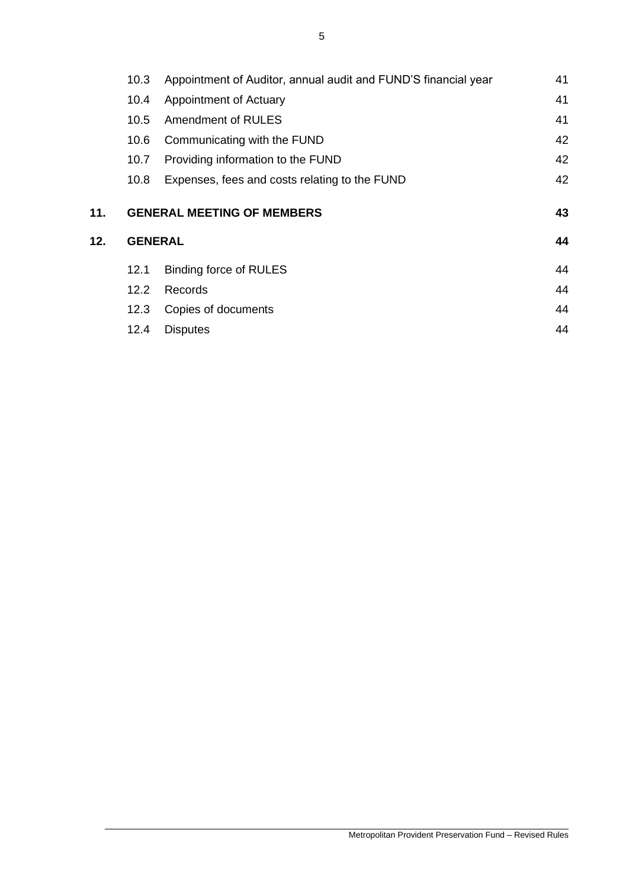|     | 10.3           | Appointment of Auditor, annual audit and FUND'S financial year | 41 |
|-----|----------------|----------------------------------------------------------------|----|
|     | 10.4           | Appointment of Actuary                                         | 41 |
|     | 10.5           | Amendment of RULES                                             | 41 |
|     | 10.6           | Communicating with the FUND                                    | 42 |
|     | 10.7           | Providing information to the FUND                              | 42 |
|     | 10.8           | Expenses, fees and costs relating to the FUND                  | 42 |
| 11. |                | <b>GENERAL MEETING OF MEMBERS</b>                              | 43 |
| 12. | <b>GENERAL</b> |                                                                |    |
|     | 12.1           | Binding force of RULES                                         | 44 |
|     | 12.2           | Records                                                        | 44 |
|     | 12.3           | Copies of documents                                            | 44 |
|     | 12.4           | <b>Disputes</b>                                                | 44 |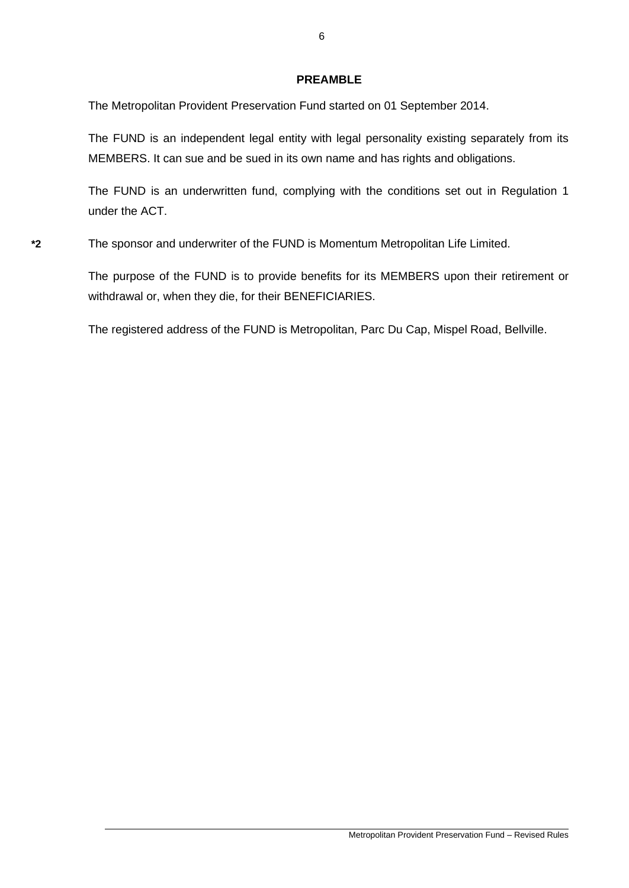## **PREAMBLE**

The Metropolitan Provident Preservation Fund started on 01 September 2014.

The FUND is an independent legal entity with legal personality existing separately from its MEMBERS. It can sue and be sued in its own name and has rights and obligations.

The FUND is an underwritten fund, complying with the conditions set out in Regulation 1 under the ACT.

**\*2** The sponsor and underwriter of the FUND is Momentum Metropolitan Life Limited.

The purpose of the FUND is to provide benefits for its MEMBERS upon their retirement or withdrawal or, when they die, for their BENEFICIARIES.

The registered address of the FUND is Metropolitan, Parc Du Cap, Mispel Road, Bellville.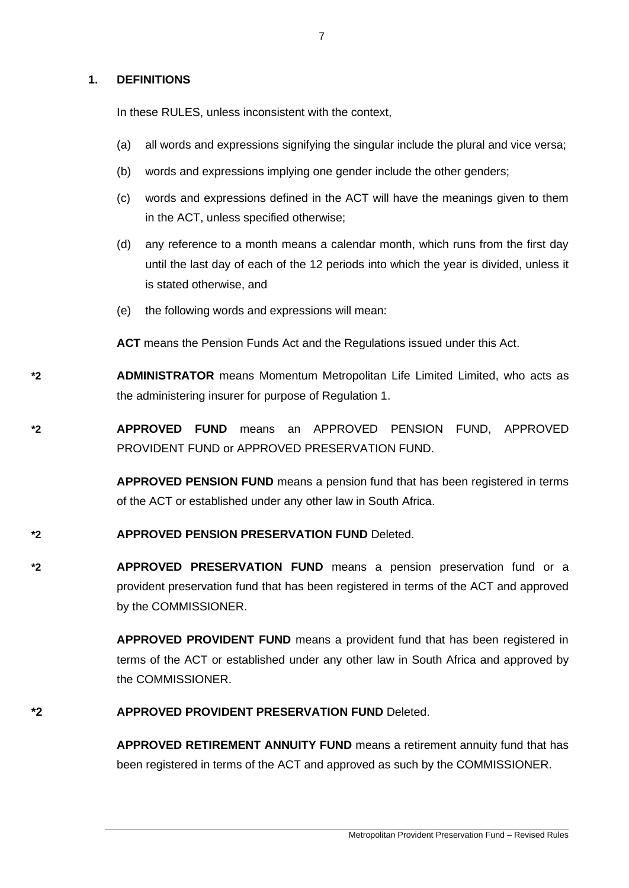## **1. DEFINITIONS**

In these RULES, unless inconsistent with the context,

- (a) all words and expressions signifying the singular include the plural and vice versa;
- (b) words and expressions implying one gender include the other genders;
- (c) words and expressions defined in the ACT will have the meanings given to them in the ACT, unless specified otherwise;
- (d) any reference to a month means a calendar month, which runs from the first day until the last day of each of the 12 periods into which the year is divided, unless it is stated otherwise, and
- (e) the following words and expressions will mean:

**ACT** means the Pension Funds Act and the Regulations issued under this Act.

**\*2 ADMINISTRATOR** means Momentum Metropolitan Life Limited Limited, who acts as the administering insurer for purpose of Regulation 1.

**\*2 APPROVED FUND** means an APPROVED PENSION FUND, APPROVED PROVIDENT FUND or APPROVED PRESERVATION FUND.

> **APPROVED PENSION FUND** means a pension fund that has been registered in terms of the ACT or established under any other law in South Africa.

# **\*2 APPROVED PENSION PRESERVATION FUND** Deleted.

**\*2 APPROVED PRESERVATION FUND** means a pension preservation fund or a provident preservation fund that has been registered in terms of the ACT and approved by the COMMISSIONER.

> **APPROVED PROVIDENT FUND** means a provident fund that has been registered in terms of the ACT or established under any other law in South Africa and approved by the COMMISSIONER.

## **\*2 APPROVED PROVIDENT PRESERVATION FUND** Deleted.

**APPROVED RETIREMENT ANNUITY FUND** means a retirement annuity fund that has been registered in terms of the ACT and approved as such by the COMMISSIONER.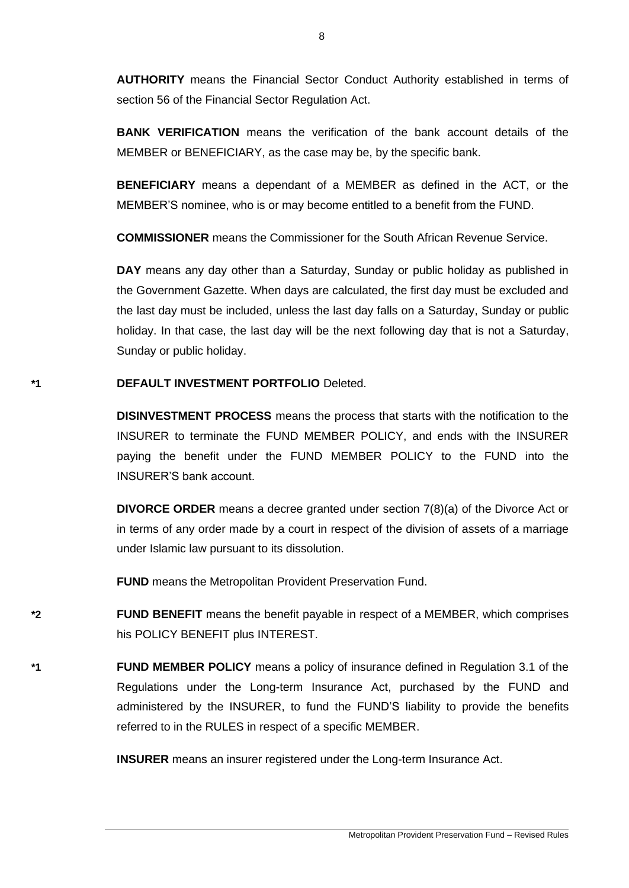**AUTHORITY** means the Financial Sector Conduct Authority established in terms of section 56 of the Financial Sector Regulation Act.

**BANK VERIFICATION** means the verification of the bank account details of the MEMBER or BENEFICIARY, as the case may be, by the specific bank.

**BENEFICIARY** means a dependant of a MEMBER as defined in the ACT, or the MEMBER'S nominee, who is or may become entitled to a benefit from the FUND.

**COMMISSIONER** means the Commissioner for the South African Revenue Service.

**DAY** means any day other than a Saturday, Sunday or public holiday as published in the Government Gazette. When days are calculated, the first day must be excluded and the last day must be included, unless the last day falls on a Saturday, Sunday or public holiday. In that case, the last day will be the next following day that is not a Saturday, Sunday or public holiday.

## **\*1 DEFAULT INVESTMENT PORTFOLIO** Deleted.

**DISINVESTMENT PROCESS** means the process that starts with the notification to the INSURER to terminate the FUND MEMBER POLICY, and ends with the INSURER paying the benefit under the FUND MEMBER POLICY to the FUND into the INSURER'S bank account.

**DIVORCE ORDER** means a decree granted under section 7(8)(a) of the Divorce Act or in terms of any order made by a court in respect of the division of assets of a marriage under Islamic law pursuant to its dissolution.

**FUND** means the Metropolitan Provident Preservation Fund.

**\*2 FUND BENEFIT** means the benefit payable in respect of a MEMBER, which comprises his POLICY BENEFIT plus INTEREST.

**\*1 FUND MEMBER POLICY** means a policy of insurance defined in Regulation 3.1 of the Regulations under the Long-term Insurance Act, purchased by the FUND and administered by the INSURER, to fund the FUND'S liability to provide the benefits referred to in the RULES in respect of a specific MEMBER.

**INSURER** means an insurer registered under the Long-term Insurance Act.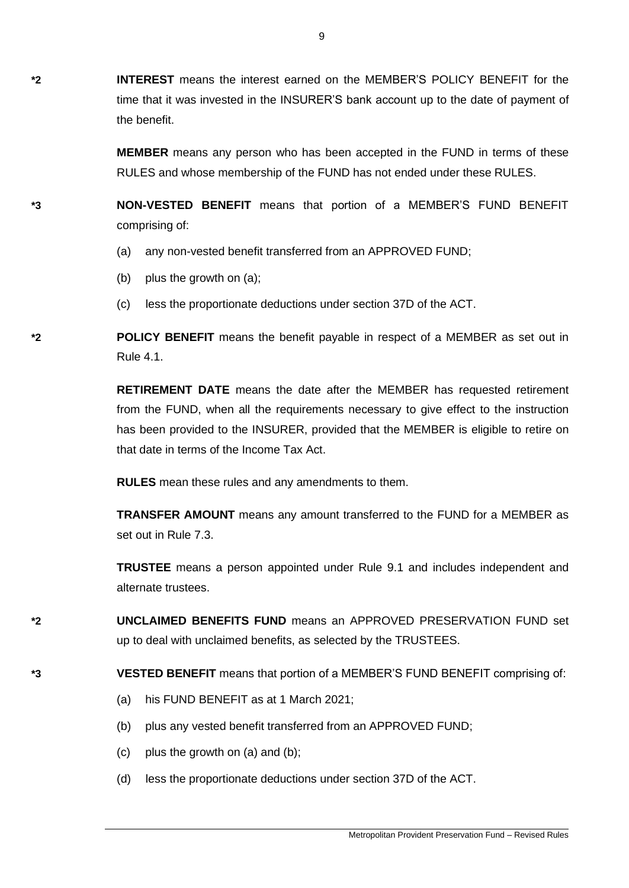**\*2 INTEREST** means the interest earned on the MEMBER'S POLICY BENEFIT for the time that it was invested in the INSURER'S bank account up to the date of payment of the benefit.

> **MEMBER** means any person who has been accepted in the FUND in terms of these RULES and whose membership of the FUND has not ended under these RULES.

**\*3 NON-VESTED BENEFIT** means that portion of a MEMBER'S FUND BENEFIT comprising of:

- (a) any non-vested benefit transferred from an APPROVED FUND;
- (b) plus the growth on (a);
- (c) less the proportionate deductions under section 37D of the ACT.

**\*2 POLICY BENEFIT** means the benefit payable in respect of a MEMBER as set out in Rule 4.1.

> **RETIREMENT DATE** means the date after the MEMBER has requested retirement from the FUND, when all the requirements necessary to give effect to the instruction has been provided to the INSURER, provided that the MEMBER is eligible to retire on that date in terms of the Income Tax Act.

**RULES** mean these rules and any amendments to them.

**TRANSFER AMOUNT** means any amount transferred to the FUND for a MEMBER as set out in Rule 7.3.

**TRUSTEE** means a person appointed under Rule 9.1 and includes independent and alternate trustees.

**\*2 UNCLAIMED BENEFITS FUND** means an APPROVED PRESERVATION FUND set up to deal with unclaimed benefits, as selected by the TRUSTEES.

# **\*3 VESTED BENEFIT** means that portion of a MEMBER'S FUND BENEFIT comprising of:

- (a) his FUND BENEFIT as at 1 March 2021;
- (b) plus any vested benefit transferred from an APPROVED FUND;
- (c) plus the growth on (a) and (b);
- (d) less the proportionate deductions under section 37D of the ACT.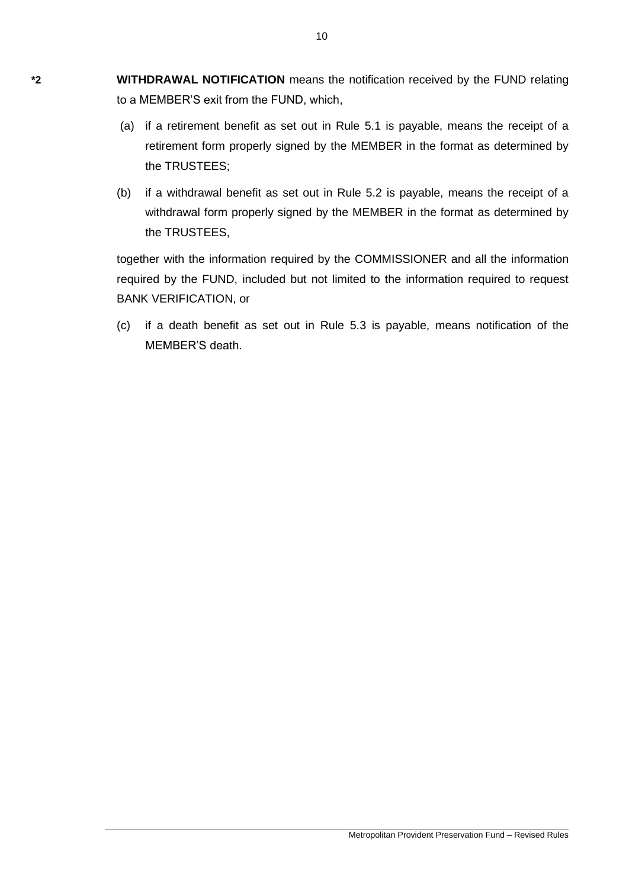**\*2 WITHDRAWAL NOTIFICATION** means the notification received by the FUND relating to a MEMBER'S exit from the FUND, which,

- (a) if a retirement benefit as set out in Rule 5.1 is payable, means the receipt of a retirement form properly signed by the MEMBER in the format as determined by the TRUSTEES;
- (b) if a withdrawal benefit as set out in Rule 5.2 is payable, means the receipt of a withdrawal form properly signed by the MEMBER in the format as determined by the TRUSTEES,

together with the information required by the COMMISSIONER and all the information required by the FUND, included but not limited to the information required to request BANK VERIFICATION, or

(c) if a death benefit as set out in Rule 5.3 is payable, means notification of the MEMBER'S death.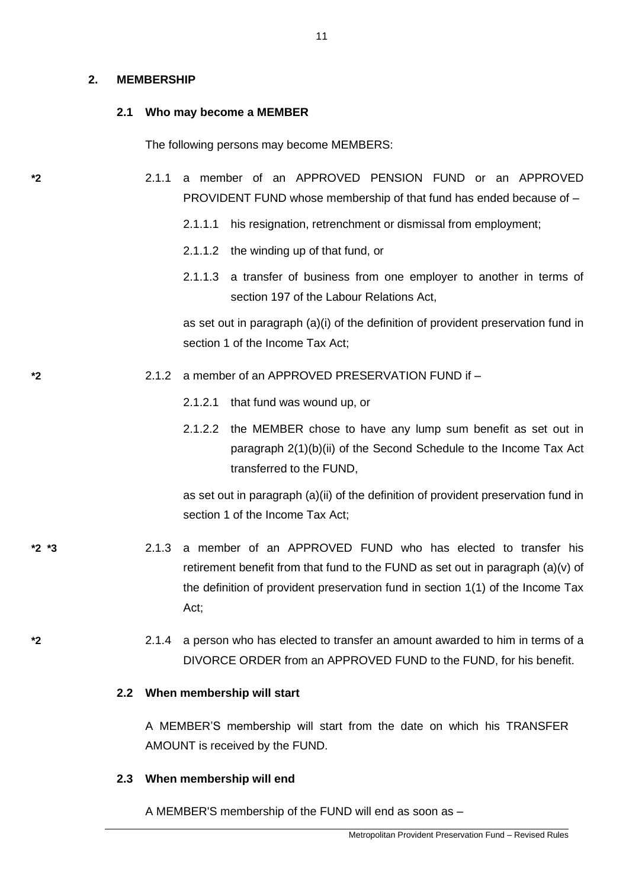### **2. MEMBERSHIP**

### **2.1 Who may become a MEMBER**

The following persons may become MEMBERS:

- **\*2** 2.1.1 a member of an APPROVED PENSION FUND or an APPROVED PROVIDENT FUND whose membership of that fund has ended because of –
	- 2.1.1.1 his resignation, retrenchment or dismissal from employment;
	- 2.1.1.2 the winding up of that fund, or
	- 2.1.1.3 a transfer of business from one employer to another in terms of [section 197](http://olybrius/nxt/gateway.dll/jilc/kilc/turg/zurg/0urg/5n9g#0) of the Labour Relations Act,

as set out in paragraph (a)(i) of the definition of provident preservation fund in section 1 of the Income Tax Act:

## **\*2** 2.1.2 a member of an APPROVED PRESERVATION FUND if –

- 2.1.2.1 that fund was wound up, or
- 2.1.2.2 the MEMBER chose to have any lump sum benefit as set out in [paragraph 2\(1\)\(b\)\(ii\)](http://www.mylexisnexis.co.za/nxt/gateway.dll/jilc/kilc/alrg/ulrg/vlrg/k8k0a#69k) of the [Second Schedule](http://www.mylexisnexis.co.za/nxt/gateway.dll/jilc/kilc/alrg/ulrg/vlrg/k8k0a#673) to the Income Tax Act transferred to the FUND,

as set out in paragraph (a)(ii) of the definition of provident preservation fund in section 1 of the Income Tax Act;

- **\*2 \*3** 2.1.3 a member of an APPROVED FUND who has elected to transfer his retirement benefit from that fund to the FUND as set out in paragraph (a)(v) of the definition of provident preservation fund in section 1(1) of the Income Tax Act;
- **\*2** 2.1.4 a person who has elected to transfer an amount awarded to him in terms of a DIVORCE ORDER from an APPROVED FUND to the FUND, for his benefit.

### **2.2 When membership will start**

A MEMBER'S membership will start from the date on which his TRANSFER AMOUNT is received by the FUND.

### **2.3 When membership will end**

A MEMBER'S membership of the FUND will end as soon as –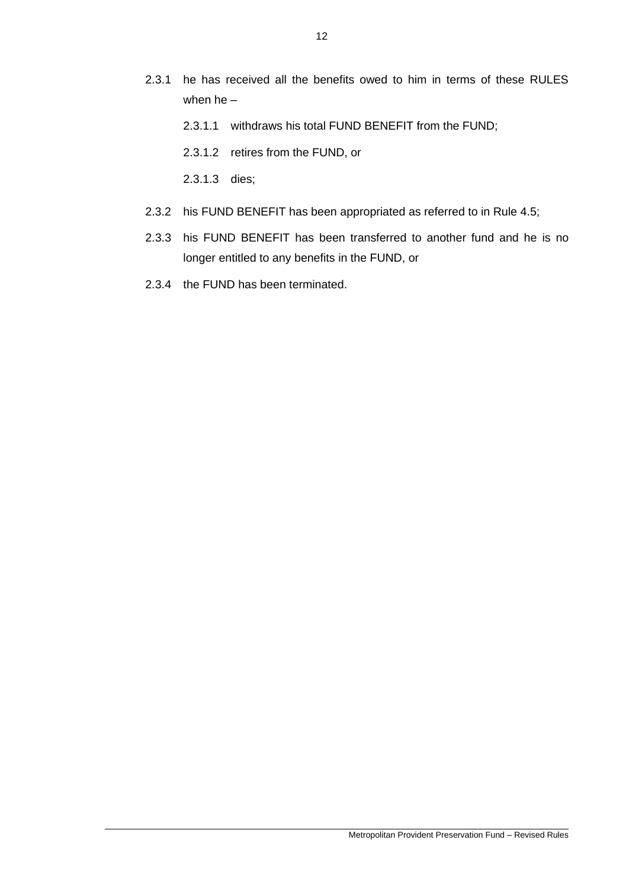- 2.3.1 he has received all the benefits owed to him in terms of these RULES when he –
	- 2.3.1.1 withdraws his total FUND BENEFIT from the FUND;
	- 2.3.1.2 retires from the FUND, or
	- 2.3.1.3 dies;
- 2.3.2 his FUND BENEFIT has been appropriated as referred to in Rule 4.5;
- 2.3.3 his FUND BENEFIT has been transferred to another fund and he is no longer entitled to any benefits in the FUND, or
- 2.3.4 the FUND has been terminated.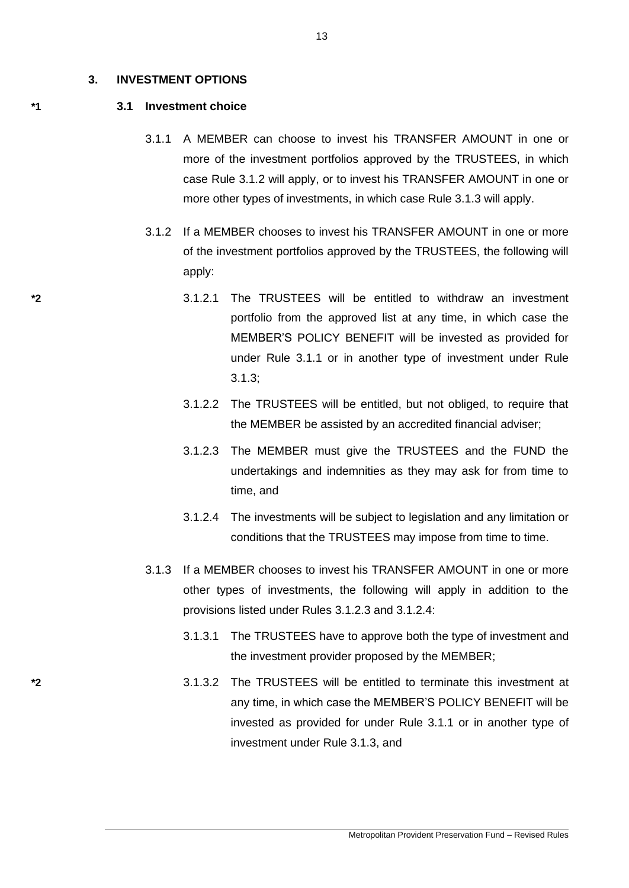#### **3. INVESTMENT OPTIONS**

#### **\*1 3.1 Investment choice**

- 3.1.1 A MEMBER can choose to invest his TRANSFER AMOUNT in one or more of the investment portfolios approved by the TRUSTEES, in which case Rule 3.1.2 will apply, or to invest his TRANSFER AMOUNT in one or more other types of investments, in which case Rule 3.1.3 will apply.
- 3.1.2 If a MEMBER chooses to invest his TRANSFER AMOUNT in one or more of the investment portfolios approved by the TRUSTEES, the following will apply:
- **\*2** 3.1.2.1 The TRUSTEES will be entitled to withdraw an investment portfolio from the approved list at any time, in which case the MEMBER'S POLICY BENEFIT will be invested as provided for under Rule 3.1.1 or in another type of investment under Rule 3.1.3;
	- 3.1.2.2 The TRUSTEES will be entitled, but not obliged, to require that the MEMBER be assisted by an accredited financial adviser;
	- 3.1.2.3 The MEMBER must give the TRUSTEES and the FUND the undertakings and indemnities as they may ask for from time to time, and
	- 3.1.2.4 The investments will be subject to legislation and any limitation or conditions that the TRUSTEES may impose from time to time.
	- 3.1.3 If a MEMBER chooses to invest his TRANSFER AMOUNT in one or more other types of investments, the following will apply in addition to the provisions listed under Rules 3.1.2.3 and 3.1.2.4:
		- 3.1.3.1 The TRUSTEES have to approve both the type of investment and the investment provider proposed by the MEMBER;
- **\*2** 3.1.3.2 The TRUSTEES will be entitled to terminate this investment at any time, in which case the MEMBER'S POLICY BENEFIT will be invested as provided for under Rule 3.1.1 or in another type of investment under Rule 3.1.3, and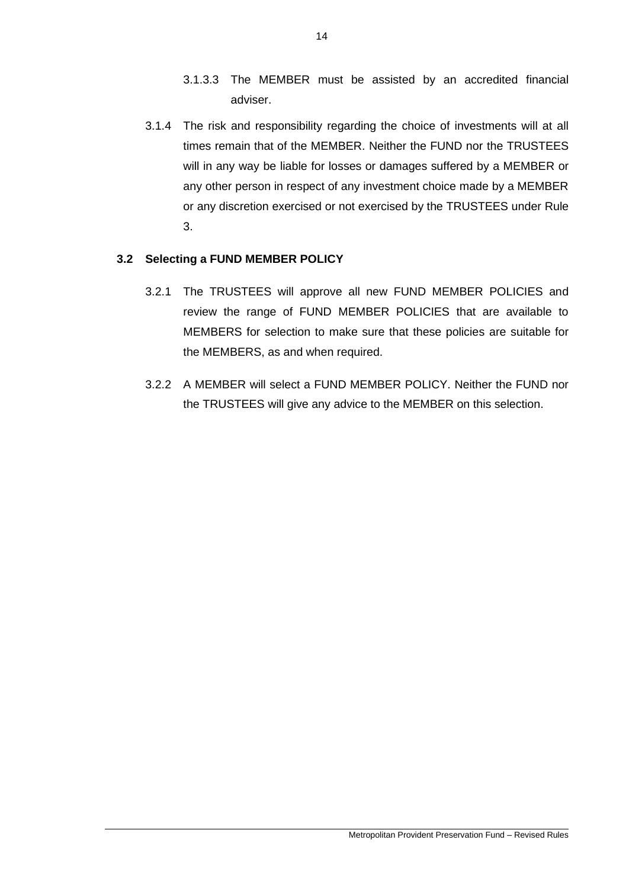- 3.1.3.3 The MEMBER must be assisted by an accredited financial adviser.
- 3.1.4 The risk and responsibility regarding the choice of investments will at all times remain that of the MEMBER. Neither the FUND nor the TRUSTEES will in any way be liable for losses or damages suffered by a MEMBER or any other person in respect of any investment choice made by a MEMBER or any discretion exercised or not exercised by the TRUSTEES under Rule 3.

# **3.2 Selecting a FUND MEMBER POLICY**

- 3.2.1 The TRUSTEES will approve all new FUND MEMBER POLICIES and review the range of FUND MEMBER POLICIES that are available to MEMBERS for selection to make sure that these policies are suitable for the MEMBERS, as and when required.
- 3.2.2 A MEMBER will select a FUND MEMBER POLICY. Neither the FUND nor the TRUSTEES will give any advice to the MEMBER on this selection.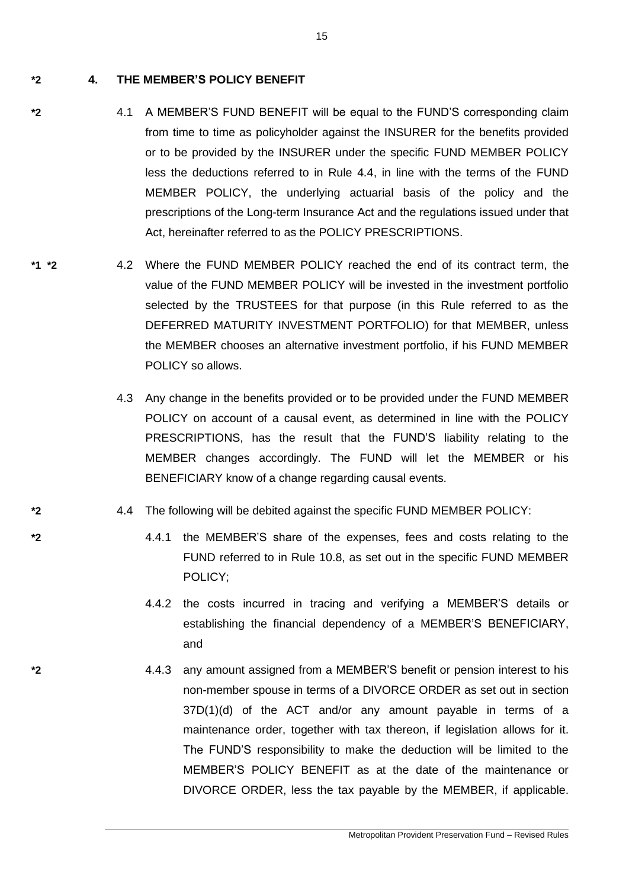**\*2 4. THE MEMBER'S POLICY BENEFIT**

- **\*2** 4.1 A MEMBER'S FUND BENEFIT will be equal to the FUND'S corresponding claim from time to time as policyholder against the INSURER for the benefits provided or to be provided by the INSURER under the specific FUND MEMBER POLICY less the deductions referred to in Rule 4.4, in line with the terms of the FUND MEMBER POLICY, the underlying actuarial basis of the policy and the prescriptions of the Long-term Insurance Act and the regulations issued under that Act, hereinafter referred to as the POLICY PRESCRIPTIONS.
- **\*1 \*2** 4.2 Where the FUND MEMBER POLICY reached the end of its contract term, the value of the FUND MEMBER POLICY will be invested in the investment portfolio selected by the TRUSTEES for that purpose (in this Rule referred to as the DEFERRED MATURITY INVESTMENT PORTFOLIO) for that MEMBER, unless the MEMBER chooses an alternative investment portfolio, if his FUND MEMBER POLICY so allows.
	- 4.3 Any change in the benefits provided or to be provided under the FUND MEMBER POLICY on account of a causal event, as determined in line with the POLICY PRESCRIPTIONS, has the result that the FUND'S liability relating to the MEMBER changes accordingly. The FUND will let the MEMBER or his BENEFICIARY know of a change regarding causal events.
- **\*2** 4.4 The following will be debited against the specific FUND MEMBER POLICY:
- **\*2** 4.4.1 the MEMBER'S share of the expenses, fees and costs relating to the FUND referred to in Rule 10.8, as set out in the specific FUND MEMBER POLICY;
	- 4.4.2 the costs incurred in tracing and verifying a MEMBER'S details or establishing the financial dependency of a MEMBER'S BENEFICIARY, and
- **\*2** 4.4.3 any amount assigned from a MEMBER'S benefit or pension interest to his non-member spouse in terms of a DIVORCE ORDER as set out in section 37D(1)(d) of the ACT and/or any amount payable in terms of a maintenance order, together with tax thereon, if legislation allows for it. The FUND'S responsibility to make the deduction will be limited to the MEMBER'S POLICY BENEFIT as at the date of the maintenance or DIVORCE ORDER, less the tax payable by the MEMBER, if applicable.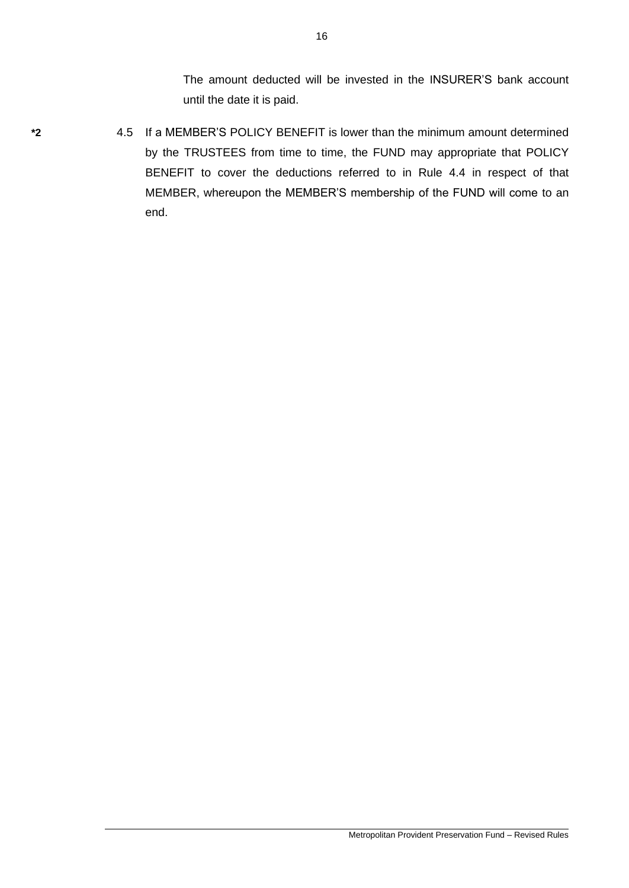The amount deducted will be invested in the INSURER'S bank account until the date it is paid.

- 
- **\*2** 4.5 If a MEMBER'S POLICY BENEFIT is lower than the minimum amount determined by the TRUSTEES from time to time, the FUND may appropriate that POLICY BENEFIT to cover the deductions referred to in Rule 4.4 in respect of that MEMBER, whereupon the MEMBER'S membership of the FUND will come to an end.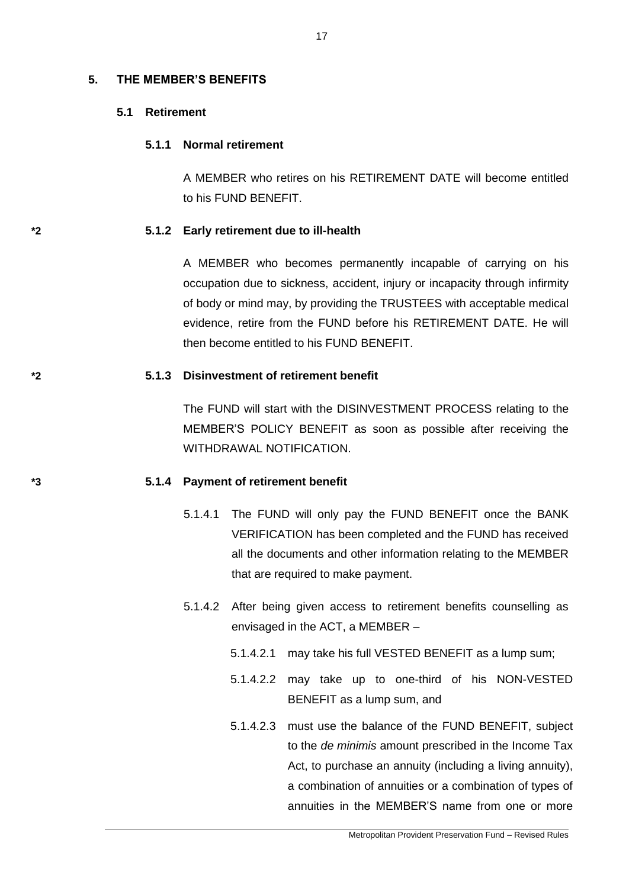### **5. THE MEMBER'S BENEFITS**

## **5.1 Retirement**

### **5.1.1 Normal retirement**

A MEMBER who retires on his RETIREMENT DATE will become entitled to his FUND BENEFIT.

### **\*2 5.1.2 Early retirement due to ill-health**

A MEMBER who becomes permanently incapable of carrying on his occupation due to sickness, accident, injury or incapacity through infirmity of body or mind may, by providing the TRUSTEES with acceptable medical evidence, retire from the FUND before his RETIREMENT DATE. He will then become entitled to his FUND BENEFIT.

## **\*2 5.1.3 Disinvestment of retirement benefit**

The FUND will start with the DISINVESTMENT PROCESS relating to the MEMBER'S POLICY BENEFIT as soon as possible after receiving the WITHDRAWAL NOTIFICATION.

### **\*3 5.1.4 Payment of retirement benefit**

- 5.1.4.1 The FUND will only pay the FUND BENEFIT once the BANK VERIFICATION has been completed and the FUND has received all the documents and other information relating to the MEMBER that are required to make payment.
- 5.1.4.2 After being given access to retirement benefits counselling as envisaged in the ACT, a MEMBER –
	- 5.1.4.2.1 may take his full VESTED BENEFIT as a lump sum;
	- 5.1.4.2.2 may take up to one-third of his NON-VESTED BENEFIT as a lump sum, and
	- 5.1.4.2.3 must use the balance of the FUND BENEFIT, subject to the *de minimis* amount prescribed in the Income Tax Act, to purchase an annuity (including a living annuity), a combination of annuities or a combination of types of annuities in the MEMBER'S name from one or more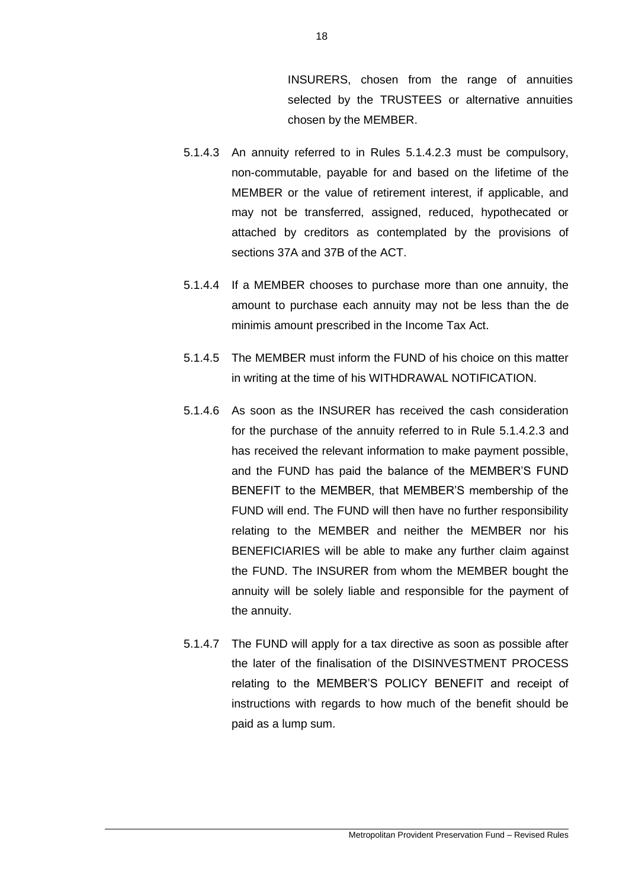INSURERS, chosen from the range of annuities selected by the TRUSTEES or alternative annuities chosen by the MEMBER.

- 5.1.4.3 An annuity referred to in Rules 5.1.4.2.3 must be compulsory, non-commutable, payable for and based on the lifetime of the MEMBER or the value of retirement interest, if applicable, and may not be transferred, assigned, reduced, hypothecated or attached by creditors as contemplated by the provisions of sections 37A and 37B of the ACT.
- 5.1.4.4 If a MEMBER chooses to purchase more than one annuity, the amount to purchase each annuity may not be less than the de minimis amount prescribed in the Income Tax Act.
- 5.1.4.5 The MEMBER must inform the FUND of his choice on this matter in writing at the time of his WITHDRAWAL NOTIFICATION.
- 5.1.4.6 As soon as the INSURER has received the cash consideration for the purchase of the annuity referred to in Rule 5.1.4.2.3 and has received the relevant information to make payment possible, and the FUND has paid the balance of the MEMBER'S FUND BENEFIT to the MEMBER, that MEMBER'S membership of the FUND will end. The FUND will then have no further responsibility relating to the MEMBER and neither the MEMBER nor his BENEFICIARIES will be able to make any further claim against the FUND. The INSURER from whom the MEMBER bought the annuity will be solely liable and responsible for the payment of the annuity.
- 5.1.4.7 The FUND will apply for a tax directive as soon as possible after the later of the finalisation of the DISINVESTMENT PROCESS relating to the MEMBER'S POLICY BENEFIT and receipt of instructions with regards to how much of the benefit should be paid as a lump sum.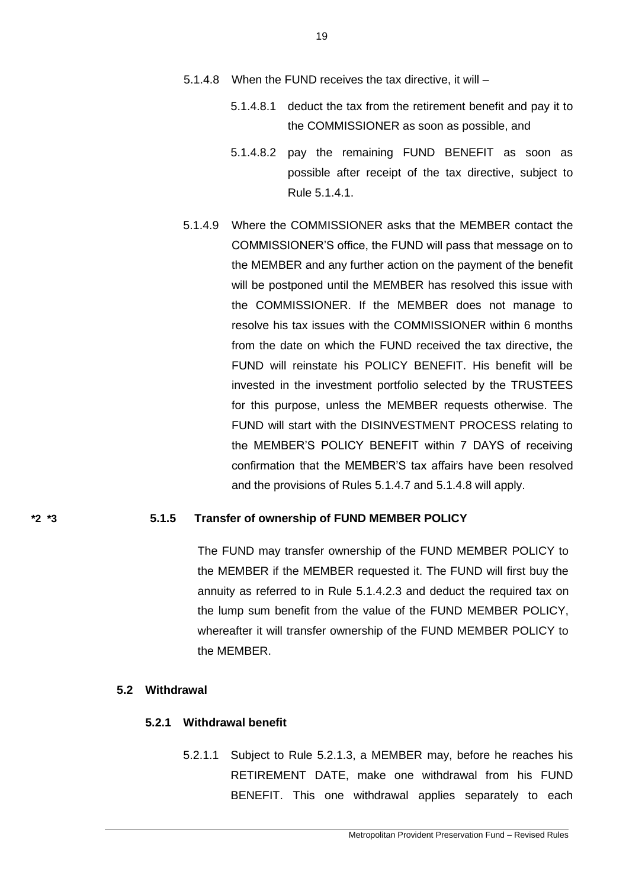- 5.1.4.8 When the FUND receives the tax directive, it will
	- 5.1.4.8.1 deduct the tax from the retirement benefit and pay it to the COMMISSIONER as soon as possible, and
	- 5.1.4.8.2 pay the remaining FUND BENEFIT as soon as possible after receipt of the tax directive, subject to Rule 5.1.4.1.
- 5.1.4.9 Where the COMMISSIONER asks that the MEMBER contact the COMMISSIONER'S office, the FUND will pass that message on to the MEMBER and any further action on the payment of the benefit will be postponed until the MEMBER has resolved this issue with the COMMISSIONER. If the MEMBER does not manage to resolve his tax issues with the COMMISSIONER within 6 months from the date on which the FUND received the tax directive, the FUND will reinstate his POLICY BENEFIT. His benefit will be invested in the investment portfolio selected by the TRUSTEES for this purpose, unless the MEMBER requests otherwise. The FUND will start with the DISINVESTMENT PROCESS relating to the MEMBER'S POLICY BENEFIT within 7 DAYS of receiving confirmation that the MEMBER'S tax affairs have been resolved and the provisions of Rules 5.1.4.7 and 5.1.4.8 will apply.

### **\*2 \*3 5.1.5 Transfer of ownership of FUND MEMBER POLICY**

The FUND may transfer ownership of the FUND MEMBER POLICY to the MEMBER if the MEMBER requested it. The FUND will first buy the annuity as referred to in Rule 5.1.4.2.3 and deduct the required tax on the lump sum benefit from the value of the FUND MEMBER POLICY, whereafter it will transfer ownership of the FUND MEMBER POLICY to the MEMBER.

## **5.2 Withdrawal**

## **5.2.1 Withdrawal benefit**

5.2.1.1 Subject to Rule 5.2.1.3, a MEMBER may, before he reaches his RETIREMENT DATE, make one withdrawal from his FUND BENEFIT. This one withdrawal applies separately to each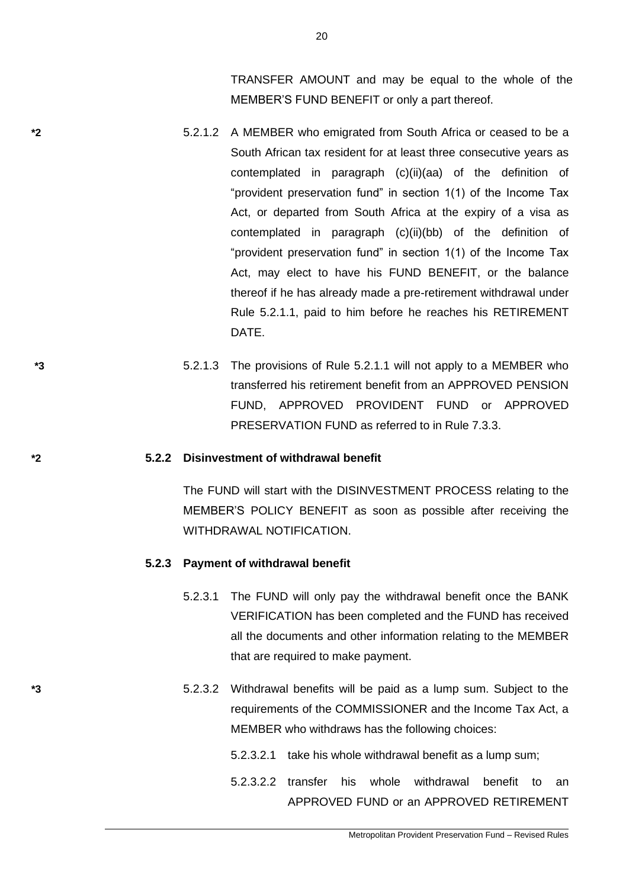TRANSFER AMOUNT and may be equal to the whole of the MEMBER'S FUND BENEFIT or only a part thereof.

- **\*2** 5.2.1.2 A MEMBER who emigrated from South Africa or ceased to be a South African tax resident for at least three consecutive years as contemplated in paragraph (c)(ii)(aa) of the definition of "provident preservation fund" in section 1(1) of the Income Tax Act, or departed from South Africa at the expiry of a visa as contemplated in paragraph (c)(ii)(bb) of the definition of "provident preservation fund" in section 1(1) of the Income Tax Act, may elect to have his FUND BENEFIT, or the balance thereof if he has already made a pre-retirement withdrawal under Rule 5.2.1.1, paid to him before he reaches his RETIREMENT DATE.
- **\*3** 5.2.1.3 The provisions of Rule 5.2.1.1 will not apply to a MEMBER who transferred his retirement benefit from an APPROVED PENSION FUND, APPROVED PROVIDENT FUND or APPROVED PRESERVATION FUND as referred to in Rule 7.3.3.

### **\*2 5.2.2 Disinvestment of withdrawal benefit**

The FUND will start with the DISINVESTMENT PROCESS relating to the MEMBER'S POLICY BENEFIT as soon as possible after receiving the WITHDRAWAL NOTIFICATION.

### **5.2.3 Payment of withdrawal benefit**

- 5.2.3.1 The FUND will only pay the withdrawal benefit once the BANK VERIFICATION has been completed and the FUND has received all the documents and other information relating to the MEMBER that are required to make payment.
- **\*3** 5.2.3.2 Withdrawal benefits will be paid as a lump sum. Subject to the requirements of the COMMISSIONER and the Income Tax Act, a MEMBER who withdraws has the following choices:
	- 5.2.3.2.1 take his whole withdrawal benefit as a lump sum;
	- 5.2.3.2.2 transfer his whole withdrawal benefit to an APPROVED FUND or an APPROVED RETIREMENT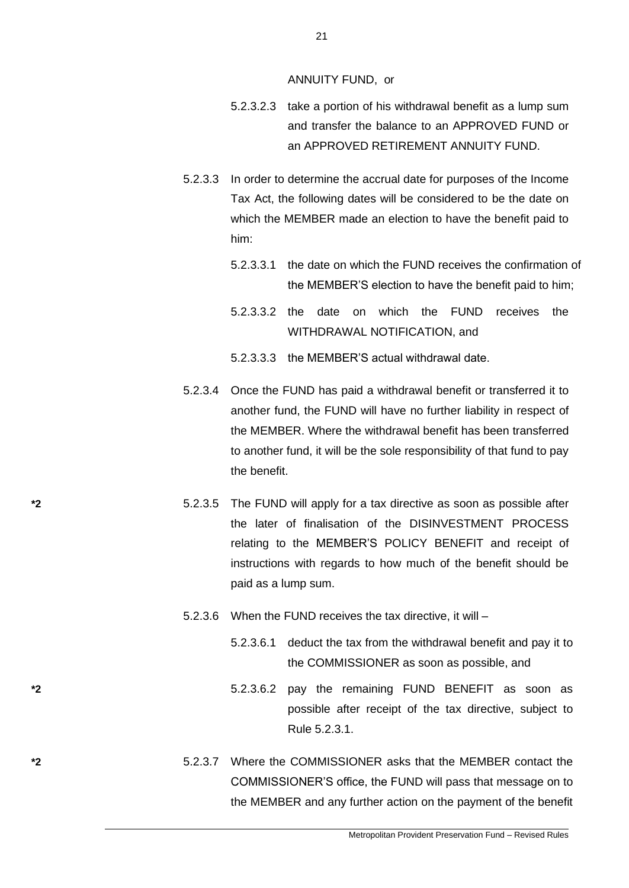ANNUITY FUND, or

- 5.2.3.2.3 take a portion of his withdrawal benefit as a lump sum and transfer the balance to an APPROVED FUND or an APPROVED RETIREMENT ANNUITY FUND.
- 5.2.3.3 In order to determine the accrual date for purposes of the Income Tax Act, the following dates will be considered to be the date on which the MEMBER made an election to have the benefit paid to him:
	- 5.2.3.3.1 the date on which the FUND receives the confirmation of the MEMBER'S election to have the benefit paid to him;
	- 5.2.3.3.2 the date on which the FUND receives the WITHDRAWAL NOTIFICATION, and
	- 5.2.3.3.3 the MEMBER'S actual withdrawal date.
- 5.2.3.4 Once the FUND has paid a withdrawal benefit or transferred it to another fund, the FUND will have no further liability in respect of the MEMBER. Where the withdrawal benefit has been transferred to another fund, it will be the sole responsibility of that fund to pay the benefit.
- **\*2** 5.2.3.5 The FUND will apply for a tax directive as soon as possible after the later of finalisation of the DISINVESTMENT PROCESS relating to the MEMBER'S POLICY BENEFIT and receipt of instructions with regards to how much of the benefit should be paid as a lump sum.
	- 5.2.3.6 When the FUND receives the tax directive, it will
		- 5.2.3.6.1 deduct the tax from the withdrawal benefit and pay it to the COMMISSIONER as soon as possible, and
- **\*2** 5.2.3.6.2 pay the remaining FUND BENEFIT as soon as possible after receipt of the tax directive, subject to Rule 5.2.3.1.
- **\*2** 5.2.3.7 Where the COMMISSIONER asks that the MEMBER contact the COMMISSIONER'S office, the FUND will pass that message on to the MEMBER and any further action on the payment of the benefit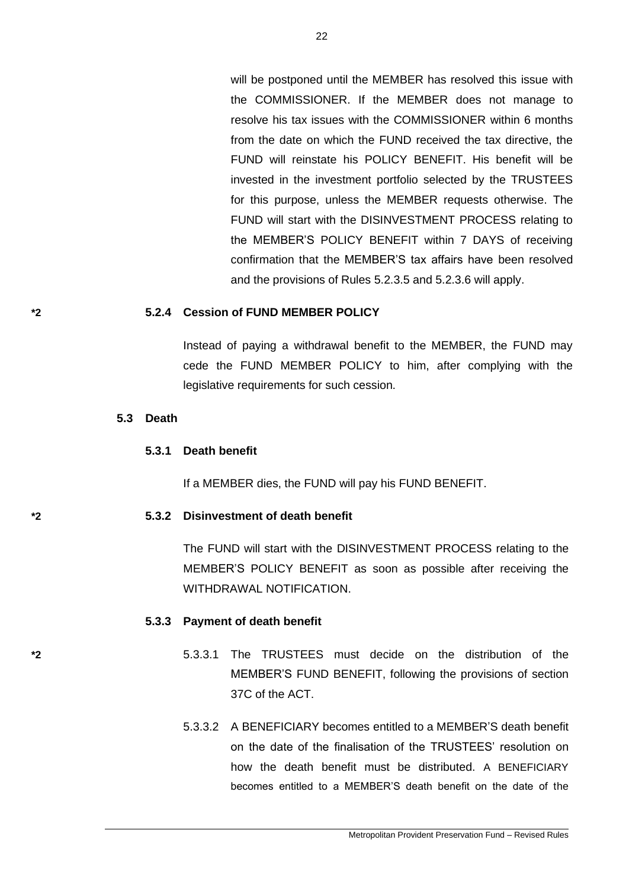will be postponed until the MEMBER has resolved this issue with the COMMISSIONER. If the MEMBER does not manage to resolve his tax issues with the COMMISSIONER within 6 months from the date on which the FUND received the tax directive, the FUND will reinstate his POLICY BENEFIT. His benefit will be invested in the investment portfolio selected by the TRUSTEES for this purpose, unless the MEMBER requests otherwise. The FUND will start with the DISINVESTMENT PROCESS relating to the MEMBER'S POLICY BENEFIT within 7 DAYS of receiving confirmation that the MEMBER'S tax affairs have been resolved and the provisions of Rules 5.2.3.5 and 5.2.3.6 will apply.

## **\*2 5.2.4 Cession of FUND MEMBER POLICY**

Instead of paying a withdrawal benefit to the MEMBER, the FUND may cede the FUND MEMBER POLICY to him, after complying with the legislative requirements for such cession.

### **5.3 Death**

### **5.3.1 Death benefit**

If a MEMBER dies, the FUND will pay his FUND BENEFIT.

### **\*2 5.3.2 Disinvestment of death benefit**

The FUND will start with the DISINVESTMENT PROCESS relating to the MEMBER'S POLICY BENEFIT as soon as possible after receiving the WITHDRAWAL NOTIFICATION.

### **5.3.3 Payment of death benefit**

- **\*2** 5.3.3.1 The TRUSTEES must decide on the distribution of the MEMBER'S FUND BENEFIT, following the provisions of section 37C of the ACT.
	- 5.3.3.2 A BENEFICIARY becomes entitled to a MEMBER'S death benefit on the date of the finalisation of the TRUSTEES' resolution on how the death benefit must be distributed. A BENEFICIARY becomes entitled to a MEMBER'S death benefit on the date of the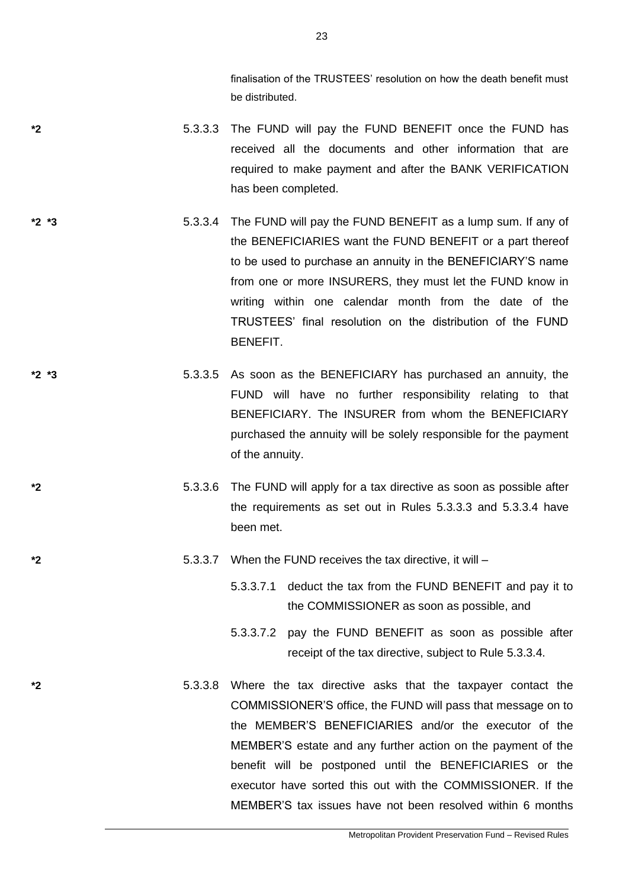finalisation of the TRUSTEES' resolution on how the death benefit must be distributed.

- **\*2** 5.3.3.3 The FUND will pay the FUND BENEFIT once the FUND has received all the documents and other information that are required to make payment and after the BANK VERIFICATION has been completed.
- **\*2 \*3** 5.3.3.4 The FUND will pay the FUND BENEFIT as a lump sum. If any of the BENEFICIARIES want the FUND BENEFIT or a part thereof to be used to purchase an annuity in the BENEFICIARY'S name from one or more INSURERS, they must let the FUND know in writing within one calendar month from the date of the TRUSTEES' final resolution on the distribution of the FUND BENEFIT.
- **\*2 \*3** 5.3.3.5 As soon as the BENEFICIARY has purchased an annuity, the FUND will have no further responsibility relating to that BENEFICIARY. The INSURER from whom the BENEFICIARY purchased the annuity will be solely responsible for the payment of the annuity.
- **\*2** 5.3.3.6 The FUND will apply for a tax directive as soon as possible after the requirements as set out in Rules 5.3.3.3 and 5.3.3.4 have been met.
- **\*2** 5.3.3.7 When the FUND receives the tax directive, it will
	- 5.3.3.7.1 deduct the tax from the FUND BENEFIT and pay it to the COMMISSIONER as soon as possible, and
	- 5.3.3.7.2 pay the FUND BENEFIT as soon as possible after receipt of the tax directive, subject to Rule 5.3.3.4.
- **\*2** 5.3.3.8 Where the tax directive asks that the taxpayer contact the COMMISSIONER'S office, the FUND will pass that message on to the MEMBER'S BENEFICIARIES and/or the executor of the MEMBER'S estate and any further action on the payment of the benefit will be postponed until the BENEFICIARIES or the executor have sorted this out with the COMMISSIONER. If the MEMBER'S tax issues have not been resolved within 6 months

23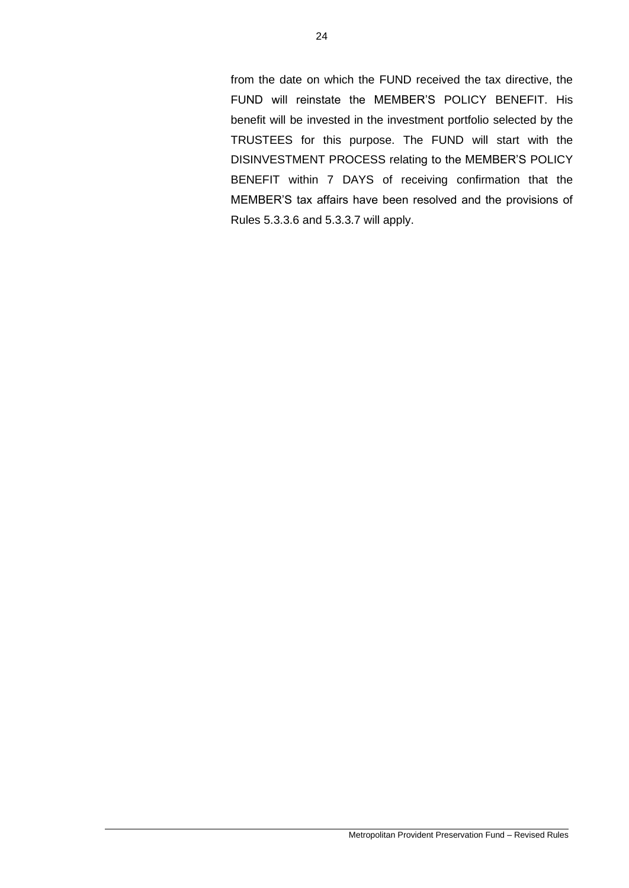from the date on which the FUND received the tax directive, the FUND will reinstate the MEMBER'S POLICY BENEFIT. His benefit will be invested in the investment portfolio selected by the TRUSTEES for this purpose. The FUND will start with the DISINVESTMENT PROCESS relating to the MEMBER'S POLICY BENEFIT within 7 DAYS of receiving confirmation that the MEMBER'S tax affairs have been resolved and the provisions of Rules 5.3.3.6 and 5.3.3.7 will apply.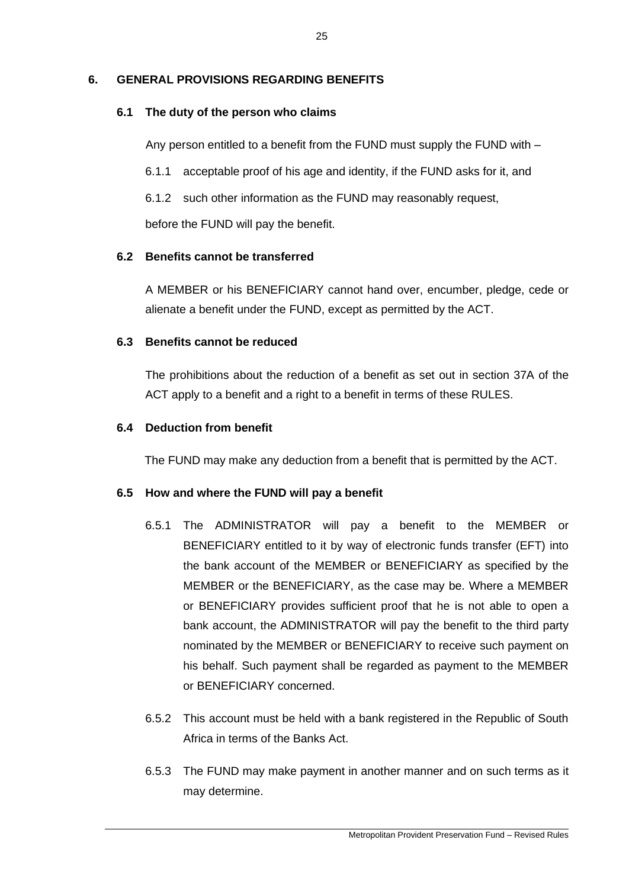# **6. GENERAL PROVISIONS REGARDING BENEFITS**

# **6.1 The duty of the person who claims**

Any person entitled to a benefit from the FUND must supply the FUND with –

6.1.1 acceptable proof of his age and identity, if the FUND asks for it, and

6.1.2 such other information as the FUND may reasonably request,

before the FUND will pay the benefit.

# **6.2 Benefits cannot be transferred**

A MEMBER or his BENEFICIARY cannot hand over, encumber, pledge, cede or alienate a benefit under the FUND, except as permitted by the ACT.

# **6.3 Benefits cannot be reduced**

The prohibitions about the reduction of a benefit as set out in section 37A of the ACT apply to a benefit and a right to a benefit in terms of these RULES.

# **6.4 Deduction from benefit**

The FUND may make any deduction from a benefit that is permitted by the ACT.

## **6.5 How and where the FUND will pay a benefit**

- 6.5.1 The ADMINISTRATOR will pay a benefit to the MEMBER or BENEFICIARY entitled to it by way of electronic funds transfer (EFT) into the bank account of the MEMBER or BENEFICIARY as specified by the MEMBER or the BENEFICIARY, as the case may be. Where a MEMBER or BENEFICIARY provides sufficient proof that he is not able to open a bank account, the ADMINISTRATOR will pay the benefit to the third party nominated by the MEMBER or BENEFICIARY to receive such payment on his behalf. Such payment shall be regarded as payment to the MEMBER or BENEFICIARY concerned.
- 6.5.2 This account must be held with a bank registered in the Republic of South Africa in terms of the Banks Act.
- 6.5.3 The FUND may make payment in another manner and on such terms as it may determine.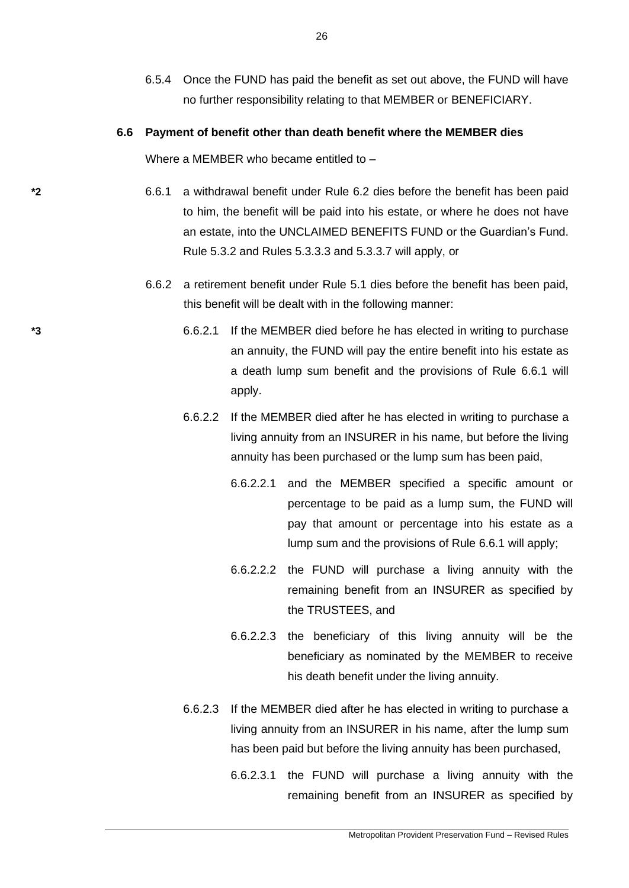6.5.4 Once the FUND has paid the benefit as set out above, the FUND will have no further responsibility relating to that MEMBER or BENEFICIARY.

### **6.6 Payment of benefit other than death benefit where the MEMBER dies**

Where a MEMBER who became entitled to -

- **\*2** 6.6.1 a withdrawal benefit under Rule 6.2 dies before the benefit has been paid to him, the benefit will be paid into his estate, or where he does not have an estate, into the UNCLAIMED BENEFITS FUND or the Guardian's Fund. Rule 5.3.2 and Rules 5.3.3.3 and 5.3.3.7 will apply, or
	- 6.6.2 a retirement benefit under Rule 5.1 dies before the benefit has been paid, this benefit will be dealt with in the following manner:
- **\*3** 6.6.2.1 If the MEMBER died before he has elected in writing to purchase an annuity, the FUND will pay the entire benefit into his estate as a death lump sum benefit and the provisions of Rule 6.6.1 will apply.
	- 6.6.2.2 If the MEMBER died after he has elected in writing to purchase a living annuity from an INSURER in his name, but before the living annuity has been purchased or the lump sum has been paid,
		- 6.6.2.2.1 and the MEMBER specified a specific amount or percentage to be paid as a lump sum, the FUND will pay that amount or percentage into his estate as a lump sum and the provisions of Rule 6.6.1 will apply;
		- 6.6.2.2.2 the FUND will purchase a living annuity with the remaining benefit from an INSURER as specified by the TRUSTEES, and
		- 6.6.2.2.3 the beneficiary of this living annuity will be the beneficiary as nominated by the MEMBER to receive his death benefit under the living annuity.
	- 6.6.2.3 If the MEMBER died after he has elected in writing to purchase a living annuity from an INSURER in his name, after the lump sum has been paid but before the living annuity has been purchased,

6.6.2.3.1 the FUND will purchase a living annuity with the remaining benefit from an INSURER as specified by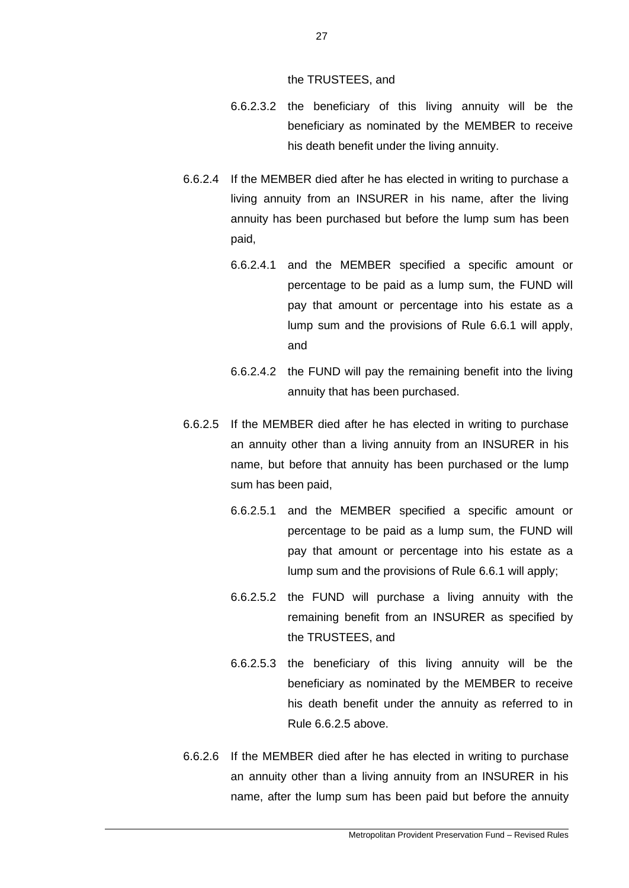the TRUSTEES, and

- 6.6.2.3.2 the beneficiary of this living annuity will be the beneficiary as nominated by the MEMBER to receive his death benefit under the living annuity.
- 6.6.2.4 If the MEMBER died after he has elected in writing to purchase a living annuity from an INSURER in his name, after the living annuity has been purchased but before the lump sum has been paid,
	- 6.6.2.4.1 and the MEMBER specified a specific amount or percentage to be paid as a lump sum, the FUND will pay that amount or percentage into his estate as a lump sum and the provisions of Rule 6.6.1 will apply, and
	- 6.6.2.4.2 the FUND will pay the remaining benefit into the living annuity that has been purchased.
- 6.6.2.5 If the MEMBER died after he has elected in writing to purchase an annuity other than a living annuity from an INSURER in his name, but before that annuity has been purchased or the lump sum has been paid,
	- 6.6.2.5.1 and the MEMBER specified a specific amount or percentage to be paid as a lump sum, the FUND will pay that amount or percentage into his estate as a lump sum and the provisions of Rule 6.6.1 will apply;
	- 6.6.2.5.2 the FUND will purchase a living annuity with the remaining benefit from an INSURER as specified by the TRUSTEES, and
	- 6.6.2.5.3 the beneficiary of this living annuity will be the beneficiary as nominated by the MEMBER to receive his death benefit under the annuity as referred to in Rule 6.6.2.5 above.
- 6.6.2.6 If the MEMBER died after he has elected in writing to purchase an annuity other than a living annuity from an INSURER in his name, after the lump sum has been paid but before the annuity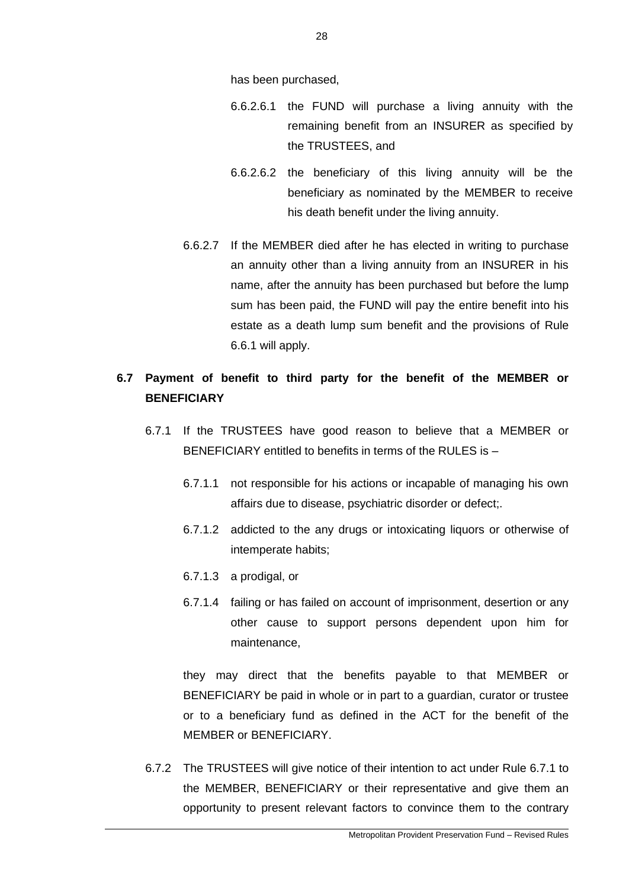has been purchased,

- 6.6.2.6.1 the FUND will purchase a living annuity with the remaining benefit from an INSURER as specified by the TRUSTEES, and
- 6.6.2.6.2 the beneficiary of this living annuity will be the beneficiary as nominated by the MEMBER to receive his death benefit under the living annuity.
- 6.6.2.7 If the MEMBER died after he has elected in writing to purchase an annuity other than a living annuity from an INSURER in his name, after the annuity has been purchased but before the lump sum has been paid, the FUND will pay the entire benefit into his estate as a death lump sum benefit and the provisions of Rule 6.6.1 will apply.

# **6.7 Payment of benefit to third party for the benefit of the MEMBER or BENEFICIARY**

- 6.7.1 If the TRUSTEES have good reason to believe that a MEMBER or BENEFICIARY entitled to benefits in terms of the RULES is –
	- 6.7.1.1 not responsible for his actions or incapable of managing his own affairs due to disease, psychiatric disorder or defect;.
	- 6.7.1.2 addicted to the any drugs or intoxicating liquors or otherwise of intemperate habits;
	- 6.7.1.3 a prodigal, or
	- 6.7.1.4 failing or has failed on account of imprisonment, desertion or any other cause to support persons dependent upon him for maintenance,

they may direct that the benefits payable to that MEMBER or BENEFICIARY be paid in whole or in part to a guardian, curator or trustee or to a beneficiary fund as defined in the ACT for the benefit of the MEMBER or BENEFICIARY.

6.7.2 The TRUSTEES will give notice of their intention to act under Rule 6.7.1 to the MEMBER, BENEFICIARY or their representative and give them an opportunity to present relevant factors to convince them to the contrary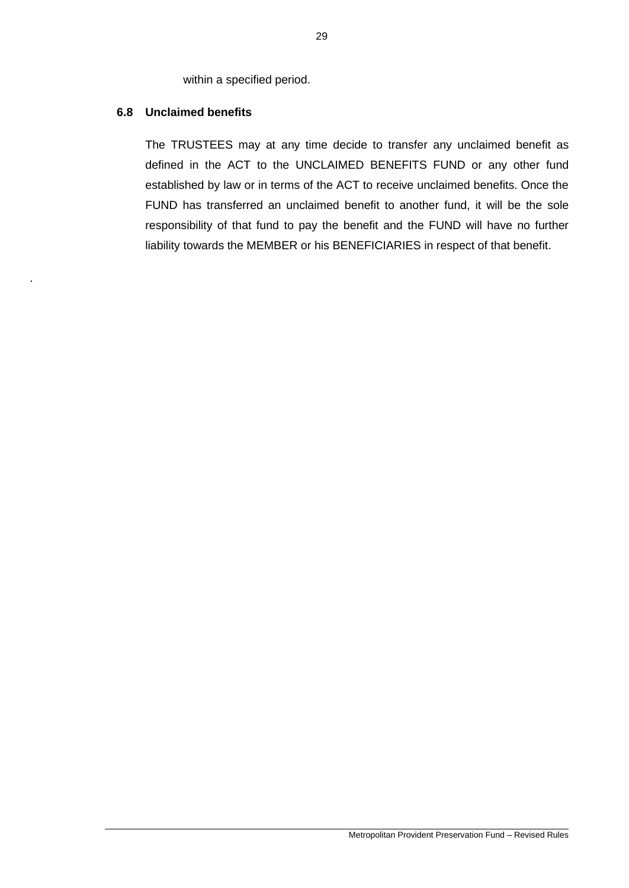within a specified period.

# **6.8 Unclaimed benefits**

.

The TRUSTEES may at any time decide to transfer any unclaimed benefit as defined in the ACT to the UNCLAIMED BENEFITS FUND or any other fund established by law or in terms of the ACT to receive unclaimed benefits. Once the FUND has transferred an unclaimed benefit to another fund, it will be the sole responsibility of that fund to pay the benefit and the FUND will have no further liability towards the MEMBER or his BENEFICIARIES in respect of that benefit.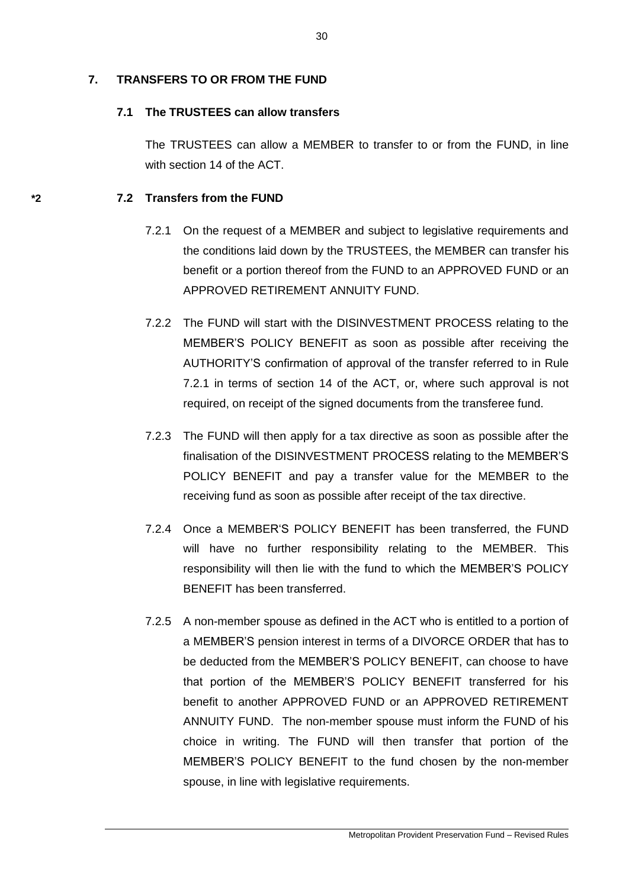# **7. TRANSFERS TO OR FROM THE FUND**

# **7.1 The TRUSTEES can allow transfers**

The TRUSTEES can allow a MEMBER to transfer to or from the FUND, in line with section 14 of the ACT.

# **\*2 7.2 Transfers from the FUND**

- 7.2.1 On the request of a MEMBER and subject to legislative requirements and the conditions laid down by the TRUSTEES, the MEMBER can transfer his benefit or a portion thereof from the FUND to an APPROVED FUND or an APPROVED RETIREMENT ANNUITY FUND.
- 7.2.2 The FUND will start with the DISINVESTMENT PROCESS relating to the MEMBER'S POLICY BENEFIT as soon as possible after receiving the AUTHORITY'S confirmation of approval of the transfer referred to in Rule 7.2.1 in terms of section 14 of the ACT, or, where such approval is not required, on receipt of the signed documents from the transferee fund.
- 7.2.3 The FUND will then apply for a tax directive as soon as possible after the finalisation of the DISINVESTMENT PROCESS relating to the MEMBER'S POLICY BENEFIT and pay a transfer value for the MEMBER to the receiving fund as soon as possible after receipt of the tax directive.
- 7.2.4 Once a MEMBER'S POLICY BENEFIT has been transferred, the FUND will have no further responsibility relating to the MEMBER. This responsibility will then lie with the fund to which the MEMBER'S POLICY BENEFIT has been transferred.
- 7.2.5 A non-member spouse as defined in the ACT who is entitled to a portion of a MEMBER'S pension interest in terms of a DIVORCE ORDER that has to be deducted from the MEMBER'S POLICY BENEFIT, can choose to have that portion of the MEMBER'S POLICY BENEFIT transferred for his benefit to another APPROVED FUND or an APPROVED RETIREMENT ANNUITY FUND. The non-member spouse must inform the FUND of his choice in writing. The FUND will then transfer that portion of the MEMBER'S POLICY BENEFIT to the fund chosen by the non-member spouse, in line with legislative requirements.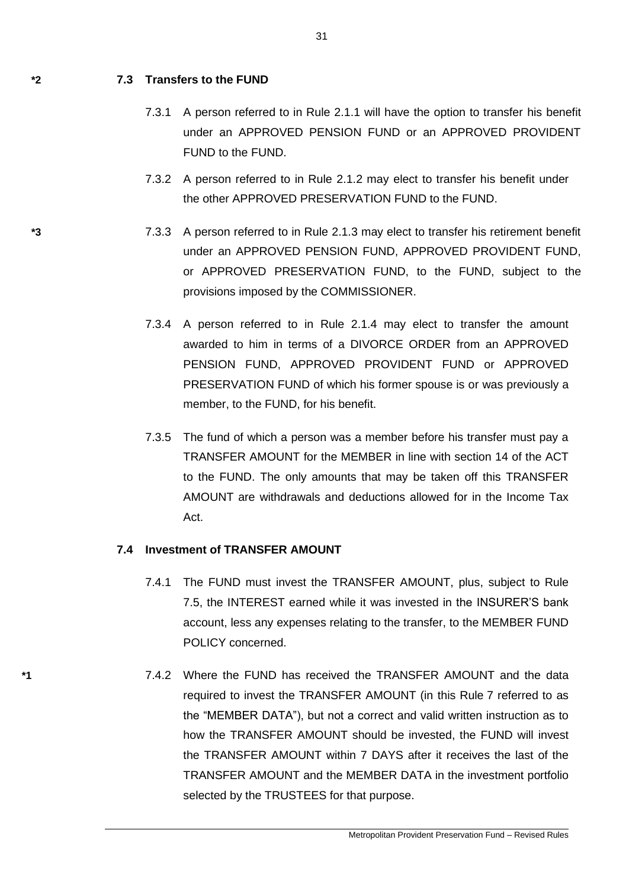## **\*2 7.3 Transfers to the FUND**

- 7.3.1 A person referred to in Rule 2.1.1 will have the option to transfer his benefit under an APPROVED PENSION FUND or an APPROVED PROVIDENT FUND to the FUND.
- 7.3.2 A person referred to in Rule 2.1.2 may elect to transfer his benefit under the other APPROVED PRESERVATION FUND to the FUND.
- **\*3** 7.3.3 A person referred to in Rule 2.1.3 may elect to transfer his retirement benefit under an APPROVED PENSION FUND, APPROVED PROVIDENT FUND, or APPROVED PRESERVATION FUND, to the FUND, subject to the provisions imposed by the COMMISSIONER.
	- 7.3.4 A person referred to in Rule 2.1.4 may elect to transfer the amount awarded to him in terms of a DIVORCE ORDER from an APPROVED PENSION FUND, APPROVED PROVIDENT FUND or APPROVED PRESERVATION FUND of which his former spouse is or was previously a member, to the FUND, for his benefit.
	- 7.3.5 The fund of which a person was a member before his transfer must pay a TRANSFER AMOUNT for the MEMBER in line with section 14 of the ACT to the FUND. The only amounts that may be taken off this TRANSFER AMOUNT are withdrawals and deductions allowed for in the Income Tax Act.

## **7.4 Investment of TRANSFER AMOUNT**

- 7.4.1 The FUND must invest the TRANSFER AMOUNT, plus, subject to Rule 7.5, the INTEREST earned while it was invested in the INSURER'S bank account, less any expenses relating to the transfer, to the MEMBER FUND POLICY concerned.
- **\*1** 7.4.2 Where the FUND has received the TRANSFER AMOUNT and the data required to invest the TRANSFER AMOUNT (in this Rule 7 referred to as the "MEMBER DATA"), but not a correct and valid written instruction as to how the TRANSFER AMOUNT should be invested, the FUND will invest the TRANSFER AMOUNT within 7 DAYS after it receives the last of the TRANSFER AMOUNT and the MEMBER DATA in the investment portfolio selected by the TRUSTEES for that purpose.

Metropolitan Provident Preservation Fund – Revised Rules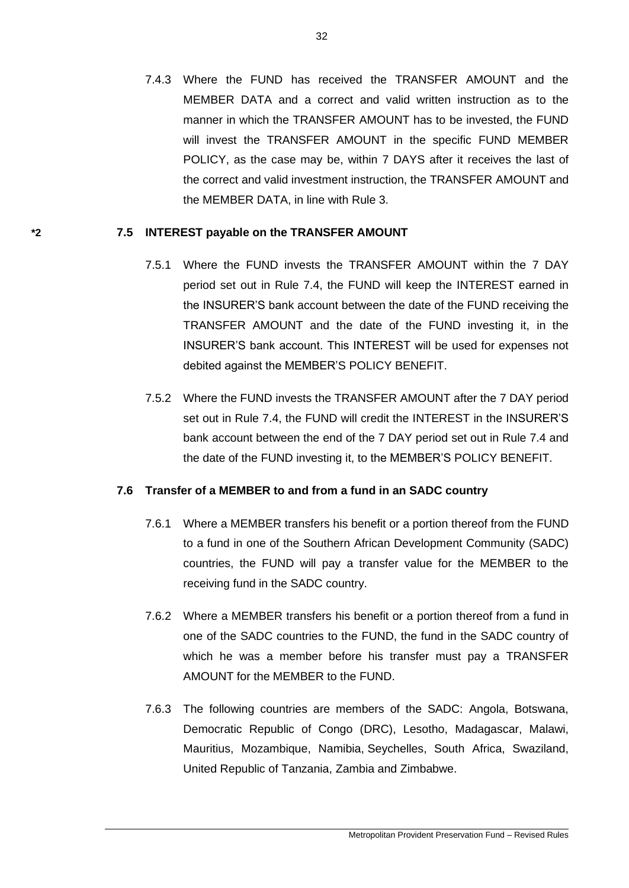7.4.3 Where the FUND has received the TRANSFER AMOUNT and the MEMBER DATA and a correct and valid written instruction as to the manner in which the TRANSFER AMOUNT has to be invested, the FUND will invest the TRANSFER AMOUNT in the specific FUND MEMBER POLICY, as the case may be, within 7 DAYS after it receives the last of the correct and valid investment instruction, the TRANSFER AMOUNT and the MEMBER DATA, in line with Rule 3.

## **\*2 7.5 INTEREST payable on the TRANSFER AMOUNT**

- 7.5.1 Where the FUND invests the TRANSFER AMOUNT within the 7 DAY period set out in Rule 7.4, the FUND will keep the INTEREST earned in the INSURER'S bank account between the date of the FUND receiving the TRANSFER AMOUNT and the date of the FUND investing it, in the INSURER'S bank account. This INTEREST will be used for expenses not debited against the MEMBER'S POLICY BENEFIT.
- 7.5.2 Where the FUND invests the TRANSFER AMOUNT after the 7 DAY period set out in Rule 7.4, the FUND will credit the INTEREST in the INSURER'S bank account between the end of the 7 DAY period set out in Rule 7.4 and the date of the FUND investing it, to the MEMBER'S POLICY BENEFIT.

# **7.6 Transfer of a MEMBER to and from a fund in an SADC country**

- 7.6.1 Where a MEMBER transfers his benefit or a portion thereof from the FUND to a fund in one of the Southern African Development Community (SADC) countries, the FUND will pay a transfer value for the MEMBER to the receiving fund in the SADC country.
- 7.6.2 Where a MEMBER transfers his benefit or a portion thereof from a fund in one of the SADC countries to the FUND, the fund in the SADC country of which he was a member before his transfer must pay a TRANSFER AMOUNT for the MEMBER to the FUND.
- 7.6.3 The following countries are members of the SADC: [Angola,](http://www.sadc.int/) [Botswana,](http://www.sadc.int/) [Democratic Republic of](http://www.sadc.int/) Congo (DRC), [Lesotho,](http://www.sadc.int/) [Madagascar,](http://www.sadc.int/) [Malawi,](http://www.sadc.int/) [Mauritius,](http://www.sadc.int/) [Mozambique,](http://www.sadc.int/) [Namibia,](http://www.sadc.int/) [Seychelles,](http://www.sadc.int/) [South](http://www.sadc.int/) Africa, [Swaziland,](http://www.sadc.int/) [United Republic of Tanzania, Zambia](http://www.sadc.int/) and [Zimbabwe.](http://www.sadc.int/)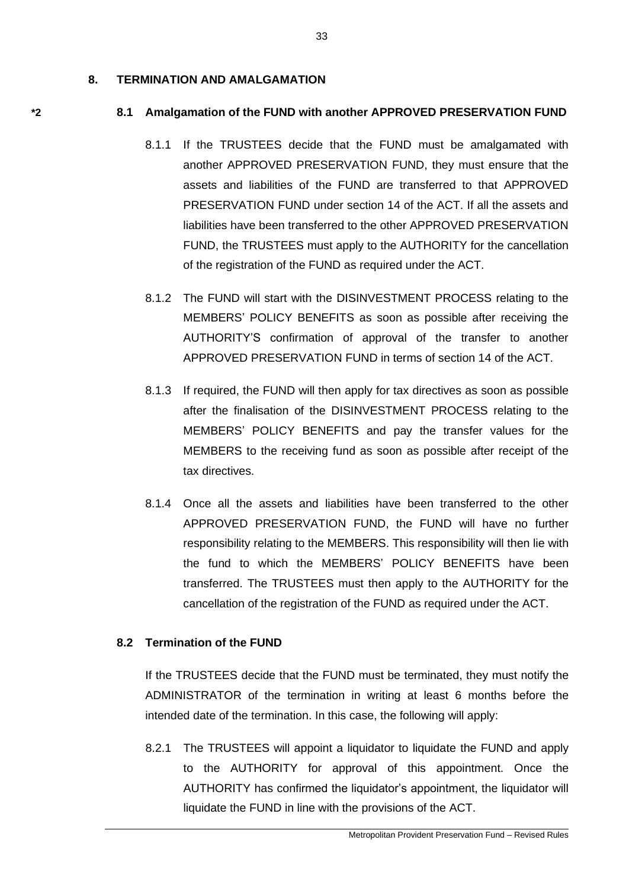### **8. TERMINATION AND AMALGAMATION**

### **\*2 8.1 Amalgamation of the FUND with another APPROVED PRESERVATION FUND**

- 8.1.1 If the TRUSTEES decide that the FUND must be amalgamated with another APPROVED PRESERVATION FUND, they must ensure that the assets and liabilities of the FUND are transferred to that APPROVED PRESERVATION FUND under section 14 of the ACT. If all the assets and liabilities have been transferred to the other APPROVED PRESERVATION FUND, the TRUSTEES must apply to the AUTHORITY for the cancellation of the registration of the FUND as required under the ACT.
- 8.1.2 The FUND will start with the DISINVESTMENT PROCESS relating to the MEMBERS' POLICY BENEFITS as soon as possible after receiving the AUTHORITY'S confirmation of approval of the transfer to another APPROVED PRESERVATION FUND in terms of section 14 of the ACT.
- 8.1.3 If required, the FUND will then apply for tax directives as soon as possible after the finalisation of the DISINVESTMENT PROCESS relating to the MEMBERS' POLICY BENEFITS and pay the transfer values for the MEMBERS to the receiving fund as soon as possible after receipt of the tax directives.
- 8.1.4 Once all the assets and liabilities have been transferred to the other APPROVED PRESERVATION FUND, the FUND will have no further responsibility relating to the MEMBERS. This responsibility will then lie with the fund to which the MEMBERS' POLICY BENEFITS have been transferred. The TRUSTEES must then apply to the AUTHORITY for the cancellation of the registration of the FUND as required under the ACT.

## **8.2 Termination of the FUND**

If the TRUSTEES decide that the FUND must be terminated, they must notify the ADMINISTRATOR of the termination in writing at least 6 months before the intended date of the termination. In this case, the following will apply:

8.2.1 The TRUSTEES will appoint a liquidator to liquidate the FUND and apply to the AUTHORITY for approval of this appointment. Once the AUTHORITY has confirmed the liquidator's appointment, the liquidator will liquidate the FUND in line with the provisions of the ACT.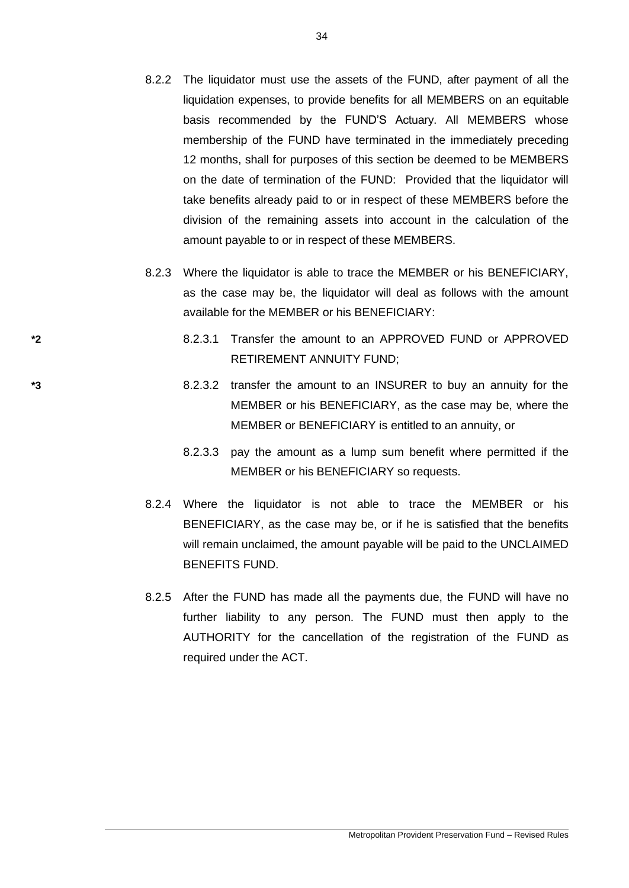- 8.2.2 The liquidator must use the assets of the FUND, after payment of all the liquidation expenses, to provide benefits for all MEMBERS on an equitable basis recommended by the FUND'S Actuary. All MEMBERS whose membership of the FUND have terminated in the immediately preceding 12 months, shall for purposes of this section be deemed to be MEMBERS on the date of termination of the FUND: Provided that the liquidator will take benefits already paid to or in respect of these MEMBERS before the division of the remaining assets into account in the calculation of the amount payable to or in respect of these MEMBERS.
- 8.2.3 Where the liquidator is able to trace the MEMBER or his BENEFICIARY, as the case may be, the liquidator will deal as follows with the amount available for the MEMBER or his BENEFICIARY:
- **\*2** 8.2.3.1 Transfer the amount to an APPROVED FUND or APPROVED RETIREMENT ANNUITY FUND;
- **\*3** 8.2.3.2 transfer the amount to an INSURER to buy an annuity for the MEMBER or his BENEFICIARY, as the case may be, where the MEMBER or BENEFICIARY is entitled to an annuity, or
	- 8.2.3.3 pay the amount as a lump sum benefit where permitted if the MEMBER or his BENEFICIARY so requests.
	- 8.2.4 Where the liquidator is not able to trace the MEMBER or his BENEFICIARY, as the case may be, or if he is satisfied that the benefits will remain unclaimed, the amount payable will be paid to the UNCLAIMED BENEFITS FUND.
	- 8.2.5 After the FUND has made all the payments due, the FUND will have no further liability to any person. The FUND must then apply to the AUTHORITY for the cancellation of the registration of the FUND as required under the ACT.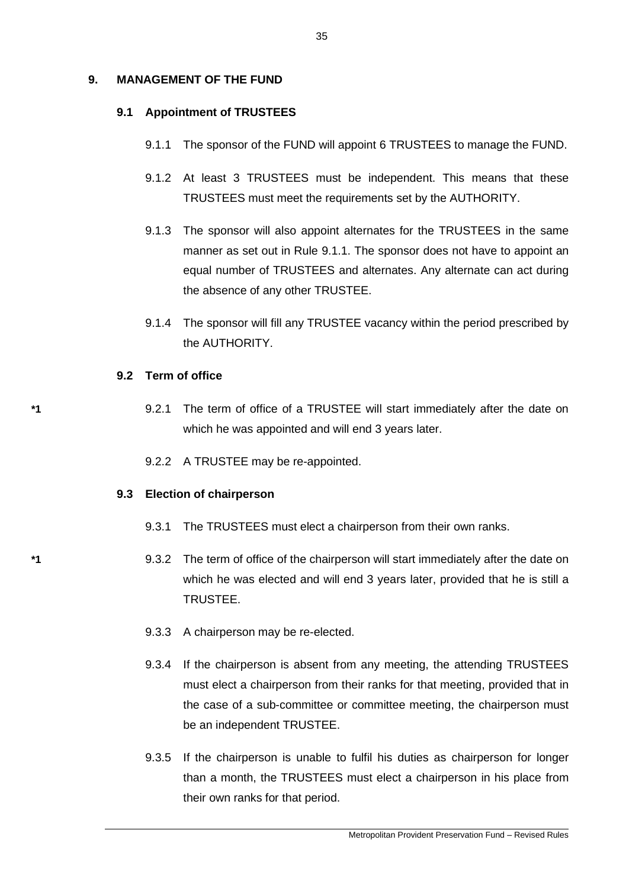## **9. MANAGEMENT OF THE FUND**

### **9.1 Appointment of TRUSTEES**

- 9.1.1 The sponsor of the FUND will appoint 6 TRUSTEES to manage the FUND.
- 9.1.2 At least 3 TRUSTEES must be independent. This means that these TRUSTEES must meet the requirements set by the AUTHORITY.
- 9.1.3 The sponsor will also appoint alternates for the TRUSTEES in the same manner as set out in Rule 9.1.1. The sponsor does not have to appoint an equal number of TRUSTEES and alternates. Any alternate can act during the absence of any other TRUSTEE.
- 9.1.4 The sponsor will fill any TRUSTEE vacancy within the period prescribed by the AUTHORITY.

## **9.2 Term of office**

- **\*1** 9.2.1 The term of office of a TRUSTEE will start immediately after the date on which he was appointed and will end 3 years later.
	- 9.2.2 A TRUSTEE may be re-appointed.

### **9.3 Election of chairperson**

- 9.3.1 The TRUSTEES must elect a chairperson from their own ranks.
- **\*1** 9.3.2 The term of office of the chairperson will start immediately after the date on which he was elected and will end 3 years later, provided that he is still a TRUSTEE.
	- 9.3.3 A chairperson may be re-elected.
	- 9.3.4 If the chairperson is absent from any meeting, the attending TRUSTEES must elect a chairperson from their ranks for that meeting, provided that in the case of a sub-committee or committee meeting, the chairperson must be an independent TRUSTEE.
	- 9.3.5 If the chairperson is unable to fulfil his duties as chairperson for longer than a month, the TRUSTEES must elect a chairperson in his place from their own ranks for that period.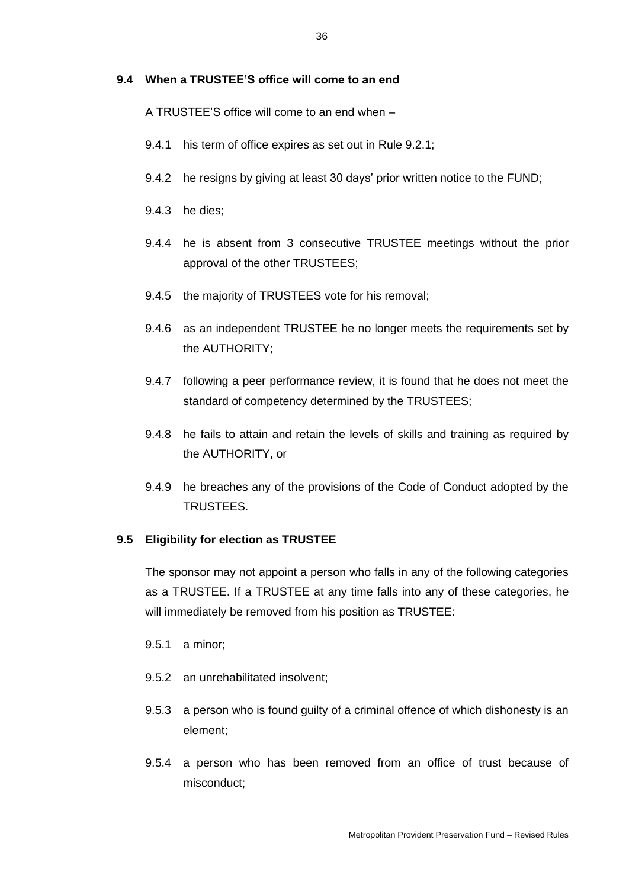## **9.4 When a TRUSTEE'S office will come to an end**

A TRUSTEE'S office will come to an end when –

- 9.4.1 his term of office expires as set out in Rule 9.2.1;
- 9.4.2 he resigns by giving at least 30 days' prior written notice to the FUND;
- 9.4.3 he dies;
- 9.4.4 he is absent from 3 consecutive TRUSTEE meetings without the prior approval of the other TRUSTEES;
- 9.4.5 the majority of TRUSTEES vote for his removal;
- 9.4.6 as an independent TRUSTEE he no longer meets the requirements set by the AUTHORITY;
- 9.4.7 following a peer performance review, it is found that he does not meet the standard of competency determined by the TRUSTEES;
- 9.4.8 he fails to attain and retain the levels of skills and training as required by the AUTHORITY, or
- 9.4.9 he breaches any of the provisions of the Code of Conduct adopted by the TRUSTEES.

# **9.5 Eligibility for election as TRUSTEE**

The sponsor may not appoint a person who falls in any of the following categories as a TRUSTEE. If a TRUSTEE at any time falls into any of these categories, he will immediately be removed from his position as TRUSTEE:

- 9.5.1 a minor;
- 9.5.2 an unrehabilitated insolvent;
- 9.5.3 a person who is found guilty of a criminal offence of which dishonesty is an element;
- 9.5.4 a person who has been removed from an office of trust because of misconduct;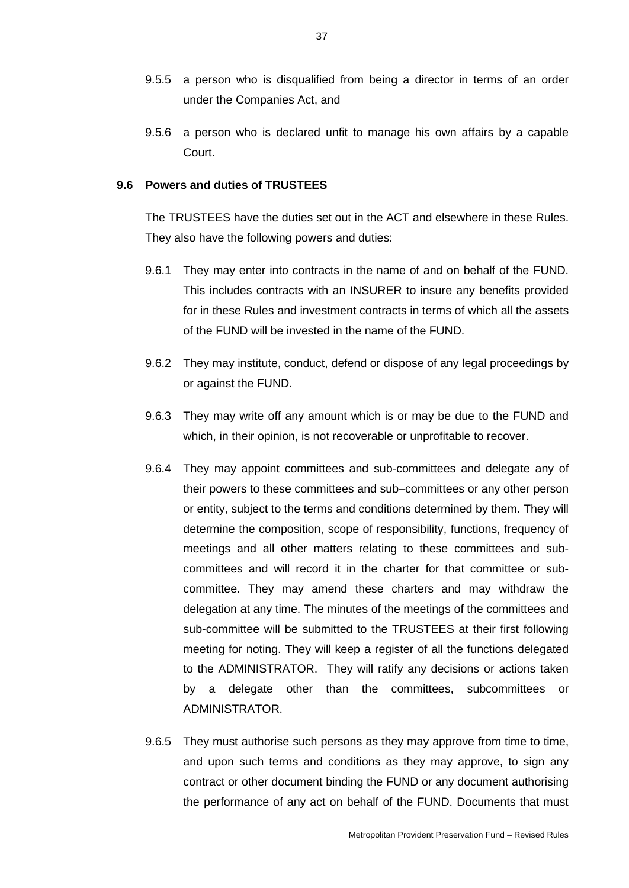- 9.5.5 a person who is disqualified from being a director in terms of an order under the Companies Act, and
- 9.5.6 a person who is declared unfit to manage his own affairs by a capable Court.

## **9.6 Powers and duties of TRUSTEES**

The TRUSTEES have the duties set out in the ACT and elsewhere in these Rules. They also have the following powers and duties:

- 9.6.1 They may enter into contracts in the name of and on behalf of the FUND. This includes contracts with an INSURER to insure any benefits provided for in these Rules and investment contracts in terms of which all the assets of the FUND will be invested in the name of the FUND.
- 9.6.2 They may institute, conduct, defend or dispose of any legal proceedings by or against the FUND.
- 9.6.3 They may write off any amount which is or may be due to the FUND and which, in their opinion, is not recoverable or unprofitable to recover.
- 9.6.4 They may appoint committees and sub-committees and delegate any of their powers to these committees and sub–committees or any other person or entity, subject to the terms and conditions determined by them. They will determine the composition, scope of responsibility, functions, frequency of meetings and all other matters relating to these committees and subcommittees and will record it in the charter for that committee or subcommittee. They may amend these charters and may withdraw the delegation at any time. The minutes of the meetings of the committees and sub-committee will be submitted to the TRUSTEES at their first following meeting for noting. They will keep a register of all the functions delegated to the ADMINISTRATOR. They will ratify any decisions or actions taken by a delegate other than the committees, subcommittees or ADMINISTRATOR.
- 9.6.5 They must authorise such persons as they may approve from time to time, and upon such terms and conditions as they may approve, to sign any contract or other document binding the FUND or any document authorising the performance of any act on behalf of the FUND. Documents that must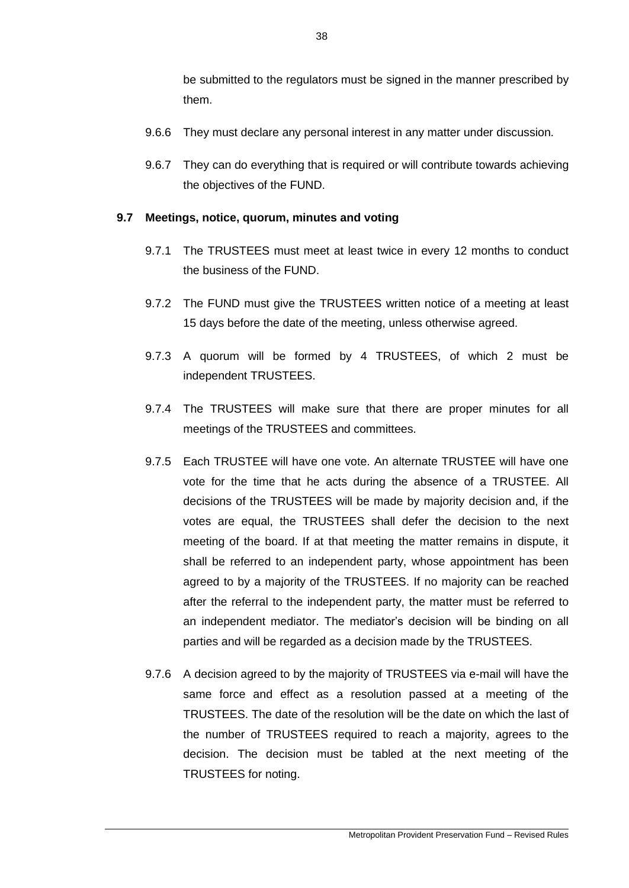be submitted to the regulators must be signed in the manner prescribed by them.

- 9.6.6 They must declare any personal interest in any matter under discussion.
- 9.6.7 They can do everything that is required or will contribute towards achieving the objectives of the FUND.

## **9.7 Meetings, notice, quorum, minutes and voting**

- 9.7.1 The TRUSTEES must meet at least twice in every 12 months to conduct the business of the FUND.
- 9.7.2 The FUND must give the TRUSTEES written notice of a meeting at least 15 days before the date of the meeting, unless otherwise agreed.
- 9.7.3 A quorum will be formed by 4 TRUSTEES, of which 2 must be independent TRUSTEES.
- 9.7.4 The TRUSTEES will make sure that there are proper minutes for all meetings of the TRUSTEES and committees.
- 9.7.5 Each TRUSTEE will have one vote. An alternate TRUSTEE will have one vote for the time that he acts during the absence of a TRUSTEE. All decisions of the TRUSTEES will be made by majority decision and, if the votes are equal, the TRUSTEES shall defer the decision to the next meeting of the board. If at that meeting the matter remains in dispute, it shall be referred to an independent party, whose appointment has been agreed to by a majority of the TRUSTEES. If no majority can be reached after the referral to the independent party, the matter must be referred to an independent mediator. The mediator's decision will be binding on all parties and will be regarded as a decision made by the TRUSTEES.
- 9.7.6 A decision agreed to by the majority of TRUSTEES via e-mail will have the same force and effect as a resolution passed at a meeting of the TRUSTEES. The date of the resolution will be the date on which the last of the number of TRUSTEES required to reach a majority, agrees to the decision. The decision must be tabled at the next meeting of the TRUSTEES for noting.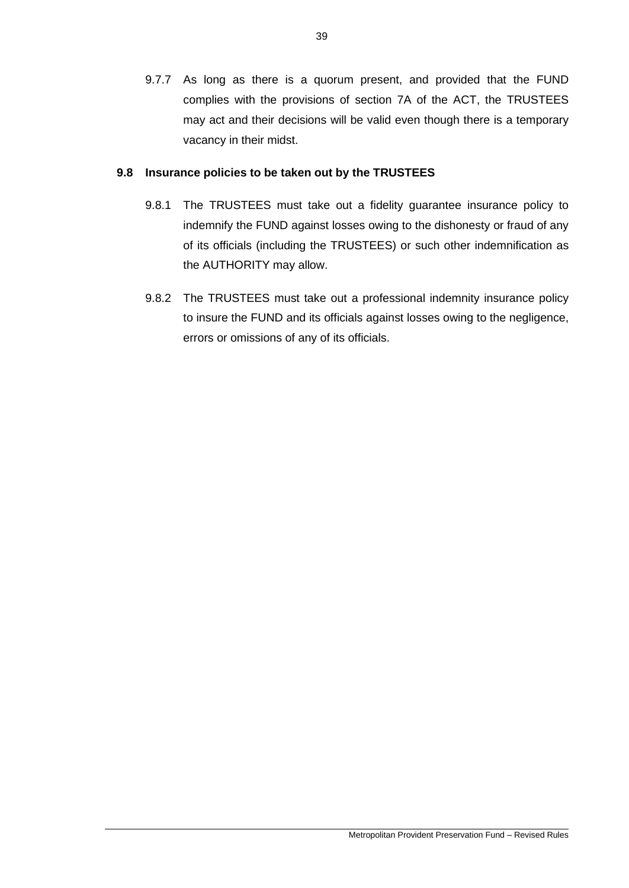9.7.7 As long as there is a quorum present, and provided that the FUND complies with the provisions of section 7A of the ACT, the TRUSTEES may act and their decisions will be valid even though there is a temporary vacancy in their midst.

## **9.8 Insurance policies to be taken out by the TRUSTEES**

- 9.8.1 The TRUSTEES must take out a fidelity guarantee insurance policy to indemnify the FUND against losses owing to the dishonesty or fraud of any of its officials (including the TRUSTEES) or such other indemnification as the AUTHORITY may allow.
- 9.8.2 The TRUSTEES must take out a professional indemnity insurance policy to insure the FUND and its officials against losses owing to the negligence, errors or omissions of any of its officials.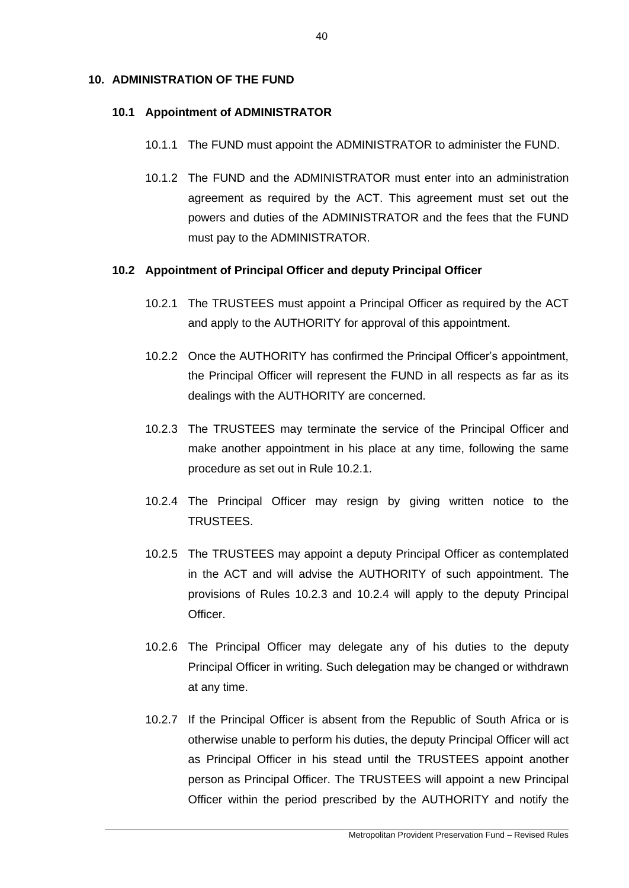## **10. ADMINISTRATION OF THE FUND**

### **10.1 Appointment of ADMINISTRATOR**

- 10.1.1 The FUND must appoint the ADMINISTRATOR to administer the FUND.
- 10.1.2 The FUND and the ADMINISTRATOR must enter into an administration agreement as required by the ACT. This agreement must set out the powers and duties of the ADMINISTRATOR and the fees that the FUND must pay to the ADMINISTRATOR.

## **10.2 Appointment of Principal Officer and deputy Principal Officer**

- 10.2.1 The TRUSTEES must appoint a Principal Officer as required by the ACT and apply to the AUTHORITY for approval of this appointment.
- 10.2.2 Once the AUTHORITY has confirmed the Principal Officer's appointment, the Principal Officer will represent the FUND in all respects as far as its dealings with the AUTHORITY are concerned.
- 10.2.3 The TRUSTEES may terminate the service of the Principal Officer and make another appointment in his place at any time, following the same procedure as set out in Rule 10.2.1.
- 10.2.4 The Principal Officer may resign by giving written notice to the TRUSTEES.
- 10.2.5 The TRUSTEES may appoint a deputy Principal Officer as contemplated in the ACT and will advise the AUTHORITY of such appointment. The provisions of Rules 10.2.3 and 10.2.4 will apply to the deputy Principal Officer.
- 10.2.6 The Principal Officer may delegate any of his duties to the deputy Principal Officer in writing. Such delegation may be changed or withdrawn at any time.
- 10.2.7 If the Principal Officer is absent from the Republic of South Africa or is otherwise unable to perform his duties, the deputy Principal Officer will act as Principal Officer in his stead until the TRUSTEES appoint another person as Principal Officer. The TRUSTEES will appoint a new Principal Officer within the period prescribed by the AUTHORITY and notify the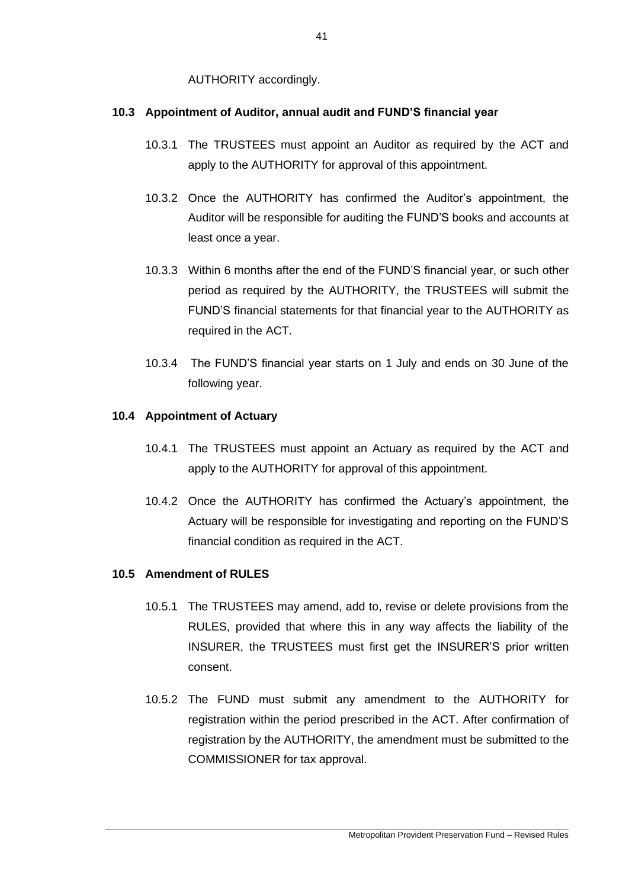AUTHORITY accordingly.

# **10.3 Appointment of Auditor, annual audit and FUND'S financial year**

- 10.3.1 The TRUSTEES must appoint an Auditor as required by the ACT and apply to the AUTHORITY for approval of this appointment.
- 10.3.2 Once the AUTHORITY has confirmed the Auditor's appointment, the Auditor will be responsible for auditing the FUND'S books and accounts at least once a year.
- 10.3.3 Within 6 months after the end of the FUND'S financial year, or such other period as required by the AUTHORITY, the TRUSTEES will submit the FUND'S financial statements for that financial year to the AUTHORITY as required in the ACT.
- 10.3.4 The FUND'S financial year starts on 1 July and ends on 30 June of the following year.

# **10.4 Appointment of Actuary**

- 10.4.1 The TRUSTEES must appoint an Actuary as required by the ACT and apply to the AUTHORITY for approval of this appointment.
- 10.4.2 Once the AUTHORITY has confirmed the Actuary's appointment, the Actuary will be responsible for investigating and reporting on the FUND'S financial condition as required in the ACT.

# **10.5 Amendment of RULES**

- 10.5.1 The TRUSTEES may amend, add to, revise or delete provisions from the RULES, provided that where this in any way affects the liability of the INSURER, the TRUSTEES must first get the INSURER'S prior written consent.
- 10.5.2 The FUND must submit any amendment to the AUTHORITY for registration within the period prescribed in the ACT. After confirmation of registration by the AUTHORITY, the amendment must be submitted to the COMMISSIONER for tax approval.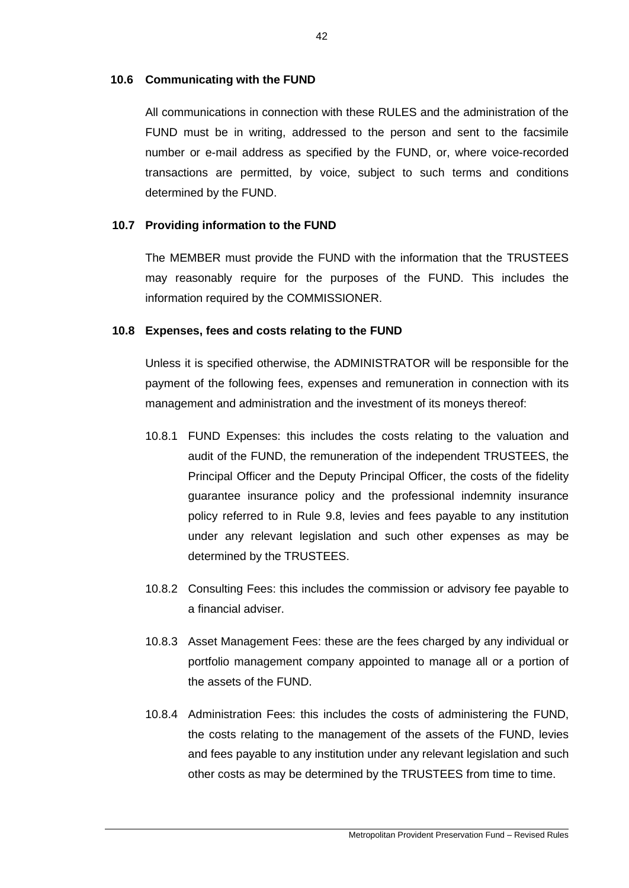## **10.6 Communicating with the FUND**

All communications in connection with these RULES and the administration of the FUND must be in writing, addressed to the person and sent to the facsimile number or e-mail address as specified by the FUND, or, where voice-recorded transactions are permitted, by voice, subject to such terms and conditions determined by the FUND.

## **10.7 Providing information to the FUND**

The MEMBER must provide the FUND with the information that the TRUSTEES may reasonably require for the purposes of the FUND. This includes the information required by the COMMISSIONER.

## **10.8 Expenses, fees and costs relating to the FUND**

Unless it is specified otherwise, the ADMINISTRATOR will be responsible for the payment of the following fees, expenses and remuneration in connection with its management and administration and the investment of its moneys thereof:

- 10.8.1 FUND Expenses: this includes the costs relating to the valuation and audit of the FUND, the remuneration of the independent TRUSTEES, the Principal Officer and the Deputy Principal Officer, the costs of the fidelity guarantee insurance policy and the professional indemnity insurance policy referred to in Rule 9.8, levies and fees payable to any institution under any relevant legislation and such other expenses as may be determined by the TRUSTEES.
- 10.8.2 Consulting Fees: this includes the commission or advisory fee payable to a financial adviser.
- 10.8.3 Asset Management Fees: these are the fees charged by any individual or portfolio management company appointed to manage all or a portion of the assets of the FUND.
- 10.8.4 Administration Fees: this includes the costs of administering the FUND, the costs relating to the management of the assets of the FUND, levies and fees payable to any institution under any relevant legislation and such other costs as may be determined by the TRUSTEES from time to time.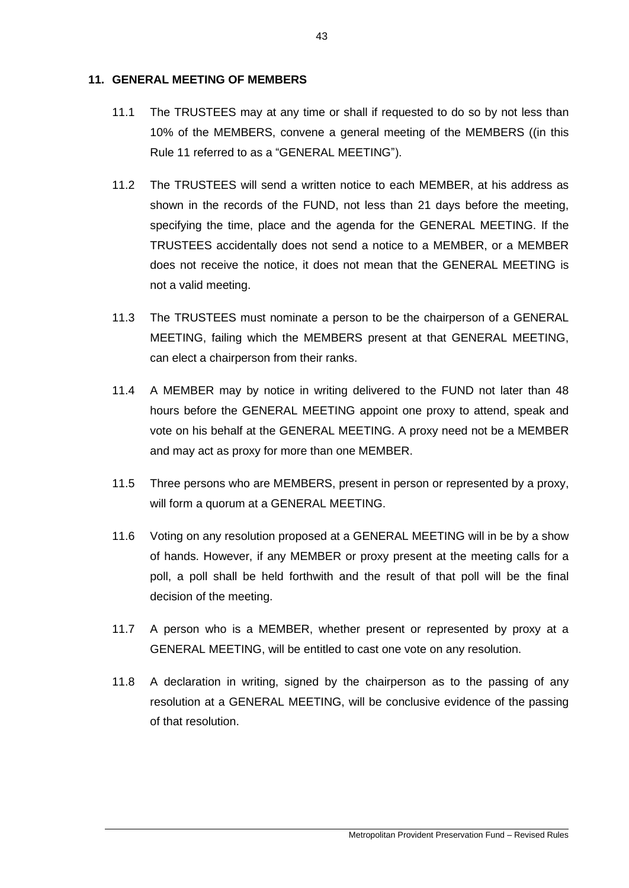## **11. GENERAL MEETING OF MEMBERS**

- 11.1 The TRUSTEES may at any time or shall if requested to do so by not less than 10% of the MEMBERS, convene a general meeting of the MEMBERS ((in this Rule 11 referred to as a "GENERAL MEETING").
- 11.2 The TRUSTEES will send a written notice to each MEMBER, at his address as shown in the records of the FUND, not less than 21 days before the meeting, specifying the time, place and the agenda for the GENERAL MEETING. If the TRUSTEES accidentally does not send a notice to a MEMBER, or a MEMBER does not receive the notice, it does not mean that the GENERAL MEETING is not a valid meeting.
- 11.3 The TRUSTEES must nominate a person to be the chairperson of a GENERAL MEETING, failing which the MEMBERS present at that GENERAL MEETING, can elect a chairperson from their ranks.
- 11.4 A MEMBER may by notice in writing delivered to the FUND not later than 48 hours before the GENERAL MEETING appoint one proxy to attend, speak and vote on his behalf at the GENERAL MEETING. A proxy need not be a MEMBER and may act as proxy for more than one MEMBER.
- 11.5 Three persons who are MEMBERS, present in person or represented by a proxy, will form a quorum at a GENERAL MEETING.
- 11.6 Voting on any resolution proposed at a GENERAL MEETING will in be by a show of hands. However, if any MEMBER or proxy present at the meeting calls for a poll, a poll shall be held forthwith and the result of that poll will be the final decision of the meeting.
- 11.7 A person who is a MEMBER, whether present or represented by proxy at a GENERAL MEETING, will be entitled to cast one vote on any resolution.
- 11.8 A declaration in writing, signed by the chairperson as to the passing of any resolution at a GENERAL MEETING, will be conclusive evidence of the passing of that resolution.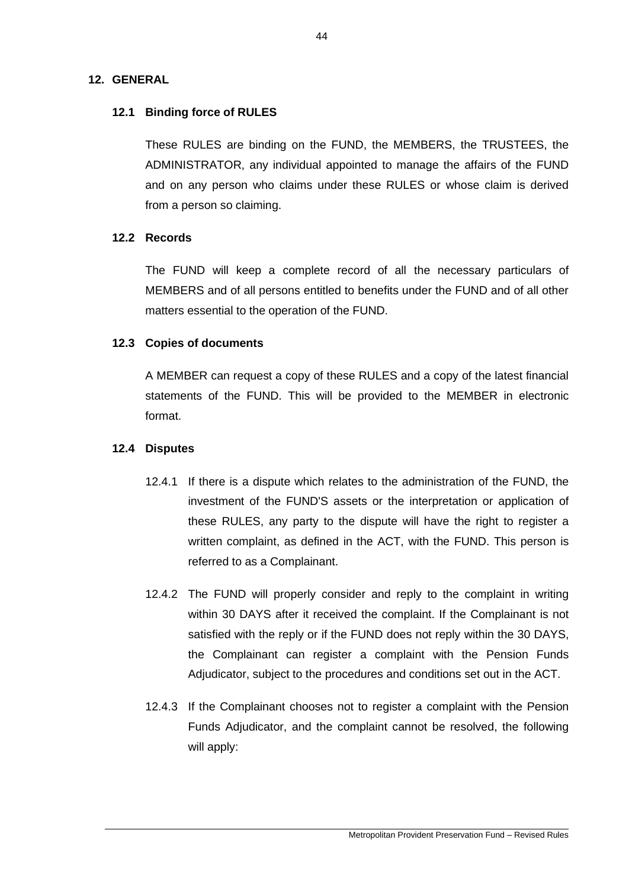# **12. GENERAL**

# **12.1 Binding force of RULES**

These RULES are binding on the FUND, the MEMBERS, the TRUSTEES, the ADMINISTRATOR, any individual appointed to manage the affairs of the FUND and on any person who claims under these RULES or whose claim is derived from a person so claiming.

## **12.2 Records**

The FUND will keep a complete record of all the necessary particulars of MEMBERS and of all persons entitled to benefits under the FUND and of all other matters essential to the operation of the FUND.

# **12.3 Copies of documents**

A MEMBER can request a copy of these RULES and a copy of the latest financial statements of the FUND. This will be provided to the MEMBER in electronic format.

## **12.4 Disputes**

- 12.4.1 If there is a dispute which relates to the administration of the FUND, the investment of the FUND'S assets or the interpretation or application of these RULES, any party to the dispute will have the right to register a written complaint, as defined in the ACT, with the FUND. This person is referred to as a Complainant.
- 12.4.2 The FUND will properly consider and reply to the complaint in writing within 30 DAYS after it received the complaint. If the Complainant is not satisfied with the reply or if the FUND does not reply within the 30 DAYS, the Complainant can register a complaint with the Pension Funds Adjudicator, subject to the procedures and conditions set out in the ACT.
- 12.4.3 If the Complainant chooses not to register a complaint with the Pension Funds Adjudicator, and the complaint cannot be resolved, the following will apply: